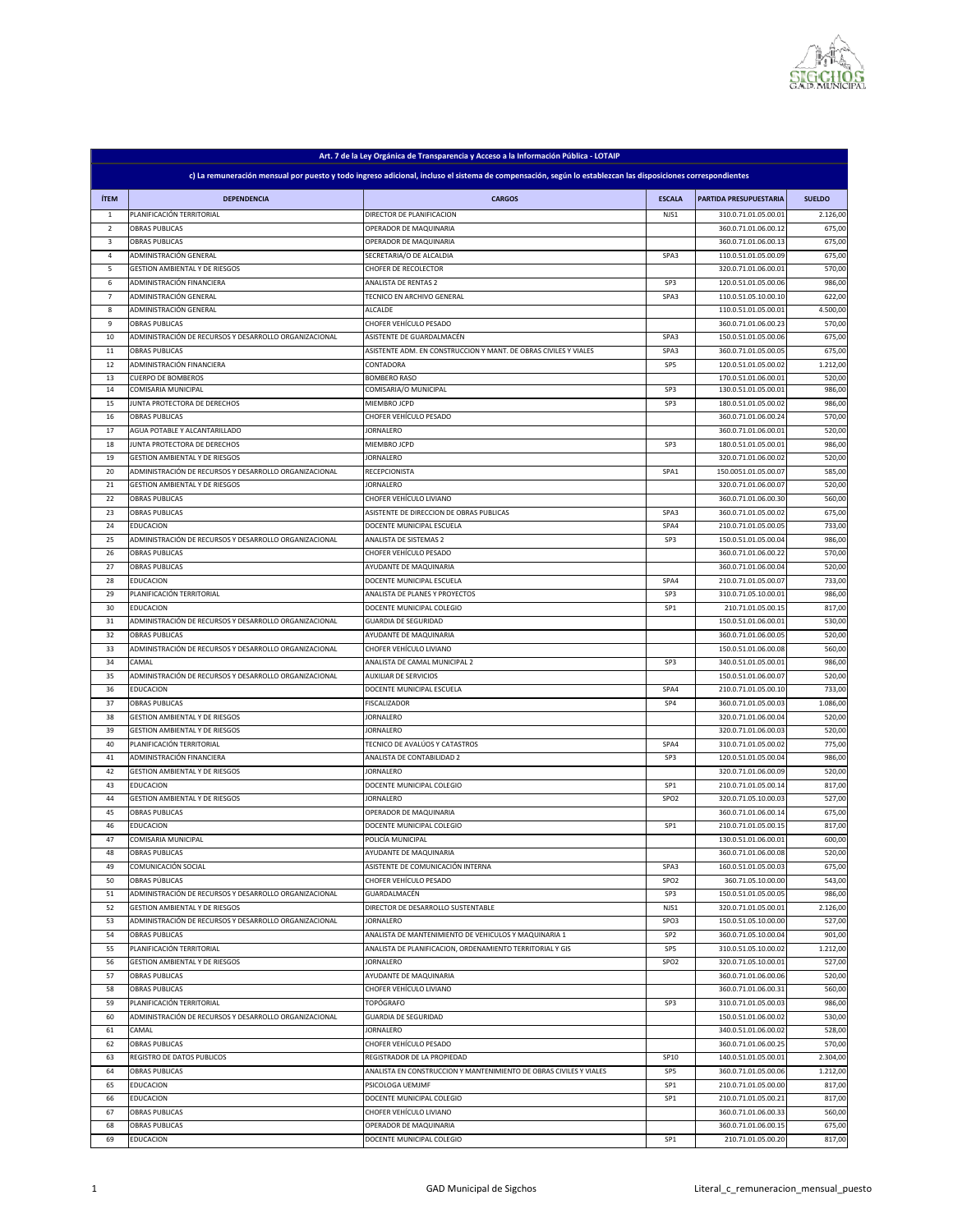

| c) La remuneración mensual por puesto y todo ingreso adicional, incluso el sistema de compensación, según lo establezcan las disposiciones correspondientes<br><b>ÍTEM</b><br><b>DEPENDENCIA</b><br><b>CARGOS</b><br><b>SUELDO</b><br><b>ESCALA</b><br>PARTIDA PRESUPUESTARIA<br>PLANIFICACIÓN TERRITORIAL<br>DIRECTOR DE PLANIFICACION<br>310.0.71.01.05.00.01<br>2.126,00<br>NJS1<br>1<br>$\overline{2}$<br><b>OBRAS PUBLICAS</b><br>OPERADOR DE MAQUINARIA<br>360.0.71.01.06.00.12<br>675,00<br><b>OBRAS PUBLICAS</b><br><b>OPERADOR DE MAQUINARIA</b><br>360.0.71.01.06.00.13<br>675,00<br>3<br>ADMINISTRACIÓN GENERAL<br>SECRETARIA/O DE ALCALDIA<br>SPA3<br>110.0.51.01.05.00.09<br>675,00<br>4<br><b>GESTION AMBIENTAL Y DE RIESGOS</b><br><b>CHOFER DE RECOLECTOR</b><br>320.0.71.01.06.00.01<br>570,00<br>5<br>ADMINISTRACIÓN FINANCIERA<br><b>ANALISTA DE RENTAS 2</b><br>986,00<br>6<br>SP3<br>120.0.51.01.05.00.06<br>ADMINISTRACIÓN GENERAL<br>622,00<br>$\overline{7}$<br>110.0.51.05.10.00.10<br>TECNICO EN ARCHIVO GENERAL<br>SPA3<br>ADMINISTRACIÓN GENERAL<br>110.0.51.01.05.00.01<br><b>ALCALDE</b><br>4.500,00<br>8<br><b>OBRAS PUBLICAS</b><br>CHOFER VEHÍCULO PESADO<br>360.0.71.01.06.00.23<br>570,00<br>9<br>ADMINISTRACIÓN DE RECURSOS Y DESARROLLO ORGANIZACIONAL<br>ASISTENTE DE GUARDALMACÉN<br>SPA3<br>150.0.51.01.05.00.06<br>675,00<br>10<br><b>OBRAS PUBLICAS</b><br>360.0.71.01.05.00.05<br>675,00<br>11<br>ASISTENTE ADM. EN CONSTRUCCION Y MANT. DE OBRAS CIVILES Y VIALES<br>SPA3<br>ADMINISTRACIÓN FINANCIERA<br>120.0.51.01.05.00.02<br>1.212,00<br>12<br>CONTADORA<br>SP5<br><b>CUERPO DE BOMBEROS</b><br>170.0.51.01.06.00.01<br><b>BOMBERO RASO</b><br>520,00<br>13<br>COMISARIA MUNICIPAL<br>SP3<br>COMISARIA/O MUNICIPAL<br>130.0.51.01.05.00.01<br>986,00<br>14<br>JUNTA PROTECTORA DE DERECHOS<br>MIEMBRO JCPD<br>SP3<br>180.0.51.01.05.00.02<br>986,00<br>15<br><b>OBRAS PUBLICAS</b><br>360.0.71.01.06.00.24<br>CHOFER VEHÍCULO PESADO<br>570,00<br>16<br>AGUA POTABLE Y ALCANTARILLADO<br>360.0.71.01.06.00.01<br>520,00<br>17<br>JORNALERO<br>986,00<br>JUNTA PROTECTORA DE DERECHOS<br>SP3<br>180.0.51.01.05.00.01<br>18<br>MIEMBRO JCPD<br><b>GESTION AMBIENTAL Y DE RIESGOS</b><br><b>JORNALERO</b><br>320.0.71.01.06.00.02<br>520,00<br>19<br>ADMINISTRACIÓN DE RECURSOS Y DESARROLLO ORGANIZACIONAL<br><b>RECEPCIONISTA</b><br>150.0051.01.05.00.07<br>585,00<br>20<br>SPA1<br><b>GESTION AMBIENTAL Y DE RIESGOS</b><br>320.0.71.01.06.00.07<br>520,00<br><b>JORNALERO</b><br>21<br><b>OBRAS PUBLICAS</b><br>CHOFER VEHÍCULO LIVIANO<br>560,00<br>22<br>360.0.71.01.06.00.30<br><b>OBRAS PUBLICAS</b><br>360.0.71.01.05.00.02<br>ASISTENTE DE DIRECCION DE OBRAS PUBLICAS<br>SPA3<br>675,00<br>23<br><b>EDUCACION</b><br>DOCENTE MUNICIPAL ESCUELA<br>210.0.71.01.05.00.05<br>733,00<br>24<br>SPA4<br>ANALISTA DE SISTEMAS 2<br>150.0.51.01.05.00.04<br>986,00<br>25<br>ADMINISTRACIÓN DE RECURSOS Y DESARROLLO ORGANIZACIONAL<br>SP3<br><b>OBRAS PUBLICAS</b><br>570,00<br>26<br>CHOFER VEHÍCULO PESADO<br>360.0.71.01.06.00.22<br>27<br><b>OBRAS PUBLICAS</b><br>520,00<br>AYUDANTE DE MAQUINARIA<br>360.0.71.01.06.00.04<br>733,00<br>28<br><b>EDUCACION</b><br>DOCENTE MUNICIPAL ESCUELA<br>SPA4<br>210.0.71.01.05.00.07<br>PLANIFICACIÓN TERRITORIAL<br>ANALISTA DE PLANES Y PROYECTOS<br>SP3<br>310.0.71.05.10.00.01<br>986,00<br>29<br>817,00<br>30<br><b>EDUCACION</b><br>DOCENTE MUNICIPAL COLEGIO<br>SP1<br>210.71.01.05.00.15<br>31<br>ADMINISTRACIÓN DE RECURSOS Y DESARROLLO ORGANIZACIONAL<br><b>GUARDIA DE SEGURIDAD</b><br>150.0.51.01.06.00.01<br>530,00<br><b>OBRAS PUBLICAS</b><br>520,00<br>32<br>AYUDANTE DE MAQUINARIA<br>360.0.71.01.06.00.05<br>33<br>ADMINISTRACIÓN DE RECURSOS Y DESARROLLO ORGANIZACIONAL<br>CHOFER VEHÍCULO LIVIANO<br>150.0.51.01.06.00.08<br>560,00<br>SP3<br>340.0.51.01.05.00.01<br>986,00<br>34<br>CAMAL<br>ANALISTA DE CAMAL MUNICIPAL 2<br>520,00<br>35<br>ADMINISTRACIÓN DE RECURSOS Y DESARROLLO ORGANIZACIONAL<br><b>AUXILIAR DE SERVICIOS</b><br>150.0.51.01.06.00.07<br>733,00<br>36<br><b>EDUCACION</b><br>DOCENTE MUNICIPAL ESCUELA<br>SPA4<br>210.0.71.01.05.00.10<br><b>OBRAS PUBLICAS</b><br>SP4<br>360.0.71.01.05.00.03<br>1.086,00<br>37<br>FISCALIZADOR<br>320.0.71.01.06.00.04<br>520,00<br>38<br><b>GESTION AMBIENTAL Y DE RIESGOS</b><br>JORNALERO<br><b>GESTION AMBIENTAL Y DE RIESGOS</b><br>320.0.71.01.06.00.03<br>520,00<br>39<br>JORNALERO<br>PLANIFICACIÓN TERRITORIAL<br>SPA4<br>775,00<br>40<br>TECNICO DE AVALÚOS Y CATASTROS<br>310.0.71.01.05.00.02<br>ADMINISTRACIÓN FINANCIERA<br>SP3<br>120.0.51.01.05.00.04<br>986,00<br>41<br>ANALISTA DE CONTABILIDAD 2<br>520,00<br>42<br><b>GESTION AMBIENTAL Y DE RIESGOS</b><br>JORNALERO<br>320.0.71.01.06.00.09<br>210.0.71.01.05.00.14<br>817,00<br>43<br><b>EDUCACION</b><br>DOCENTE MUNICIPAL COLEGIO<br>SP1<br><b>GESTION AMBIENTAL Y DE RIESGOS</b><br>320.0.71.05.10.00.03<br>527,00<br>44<br>JORNALERO<br>SPO <sub>2</sub><br>675,00<br>45<br><b>OBRAS PUBLICAS</b><br>OPERADOR DE MAQUINARIA<br>360.0.71.01.06.00.14<br><b>EDUCACION</b><br>DOCENTE MUNICIPAL COLEGIO<br>SP1<br>210.0.71.01.05.00.15<br>817,00<br>46<br>POLICÍA MUNICIPAL<br>600,00<br><b>COMISARIA MUNICIPAL</b><br>130.0.51.01.06.00.01<br>47<br><b>OBRAS PUBLICAS</b><br>360.0.71.01.06.00.08<br>520,00<br>48<br>AYUDANTE DE MAQUINARIA<br>COMUNICACIÓN SOCIAL<br>ASISTENTE DE COMUNICACIÓN INTERNA<br>SPA3<br>160.0.51.01.05.00.03<br>675,00<br>49<br>543,00<br>50<br>OBRAS PÚBLICAS<br>CHOFER VEHÍCULO PESADO<br>SPO <sub>2</sub><br>360.71.05.10.00.00<br>ADMINISTRACIÓN DE RECURSOS Y DESARROLLO ORGANIZACIONAL<br>GUARDALMACÉN<br>SP3<br>150.0.51.01.05.00.05<br>986,00<br>51<br><b>GESTION AMBIENTAL Y DE RIESGOS</b><br>DIRECTOR DE DESARROLLO SUSTENTABLE<br>NJS1<br>320.0.71.01.05.00.01<br>2.126,00<br>52<br>527,00<br>53<br>ADMINISTRACIÓN DE RECURSOS Y DESARROLLO ORGANIZACIONAL<br>SPO3<br>150.0.51.05.10.00.00<br>JORNALERO<br><b>OBRAS PUBLICAS</b><br>ANALISTA DE MANTENIMIENTO DE VEHICULOS Y MAQUINARIA 1<br>SP <sub>2</sub><br>360.0.71.05.10.00.04<br>901,00<br>54<br>1.212,00<br>55<br>PLANIFICACIÓN TERRITORIAL<br>ANALISTA DE PLANIFICACION, ORDENAMIENTO TERRITORIAL Y GIS<br>SP <sub>5</sub><br>310.0.51.05.10.00.02<br><b>GESTION AMBIENTAL Y DE RIESGOS</b><br><b>JORNALERO</b><br>320.0.71.05.10.00.01<br>527,00<br>56<br>SPO <sub>2</sub><br><b>OBRAS PUBLICAS</b><br>AYUDANTE DE MAQUINARIA<br>360.0.71.01.06.00.06<br>520,00<br>57<br>58<br><b>OBRAS PUBLICAS</b><br>CHOFER VEHÍCULO LIVIANO<br>360.0.71.01.06.00.31<br>560,00<br>PLANIFICACIÓN TERRITORIAL<br><b>TOPÓGRAFO</b><br>SP3<br>310.0.71.01.05.00.03<br>986,00<br>59<br>530,00<br>60<br>ADMINISTRACIÓN DE RECURSOS Y DESARROLLO ORGANIZACIONAL<br><b>GUARDIA DE SEGURIDAD</b><br>150.0.51.01.06.00.02<br>CAMAL<br>340.0.51.01.06.00.02<br>528,00<br>61<br>JORNALERO<br><b>OBRAS PUBLICAS</b><br>CHOFER VEHÍCULO PESADO<br>360.0.71.01.06.00.25<br>570,00<br>62<br>63<br><b>REGISTRO DE DATOS PUBLICOS</b><br>REGISTRADOR DE LA PROPIEDAD<br>SP10<br>140.0.51.01.05.00.01<br>2.304,00<br>64<br><b>OBRAS PUBLICAS</b><br>ANALISTA EN CONSTRUCCION Y MANTENIMIENTO DE OBRAS CIVILES Y VIALES<br>SP <sub>5</sub><br>360.0.71.01.05.00.06<br>1.212,00<br>817,00<br><b>EDUCACION</b><br>PSICOLOGA UEMJMF<br>SP1<br>210.0.71.01.05.00.00<br>65<br><b>EDUCACION</b><br>DOCENTE MUNICIPAL COLEGIO<br>SP1<br>210.0.71.01.05.00.21<br>817,00<br>66<br><b>OBRAS PUBLICAS</b><br>CHOFER VEHÍCULO LIVIANO<br>360.0.71.01.06.00.33<br>67<br>560,00<br>675,00<br>68<br><b>OBRAS PUBLICAS</b><br>OPERADOR DE MAQUINARIA<br>360.0.71.01.06.00.15<br>69<br><b>EDUCACION</b><br>DOCENTE MUNICIPAL COLEGIO<br>SP1<br>210.71.01.05.00.20<br>817,00 |  |  | Art. 7 de la Ley Orgánica de Transparencia y Acceso a la Información Pública - LOTAIP |  |  |  |  |  |
|------------------------------------------------------------------------------------------------------------------------------------------------------------------------------------------------------------------------------------------------------------------------------------------------------------------------------------------------------------------------------------------------------------------------------------------------------------------------------------------------------------------------------------------------------------------------------------------------------------------------------------------------------------------------------------------------------------------------------------------------------------------------------------------------------------------------------------------------------------------------------------------------------------------------------------------------------------------------------------------------------------------------------------------------------------------------------------------------------------------------------------------------------------------------------------------------------------------------------------------------------------------------------------------------------------------------------------------------------------------------------------------------------------------------------------------------------------------------------------------------------------------------------------------------------------------------------------------------------------------------------------------------------------------------------------------------------------------------------------------------------------------------------------------------------------------------------------------------------------------------------------------------------------------------------------------------------------------------------------------------------------------------------------------------------------------------------------------------------------------------------------------------------------------------------------------------------------------------------------------------------------------------------------------------------------------------------------------------------------------------------------------------------------------------------------------------------------------------------------------------------------------------------------------------------------------------------------------------------------------------------------------------------------------------------------------------------------------------------------------------------------------------------------------------------------------------------------------------------------------------------------------------------------------------------------------------------------------------------------------------------------------------------------------------------------------------------------------------------------------------------------------------------------------------------------------------------------------------------------------------------------------------------------------------------------------------------------------------------------------------------------------------------------------------------------------------------------------------------------------------------------------------------------------------------------------------------------------------------------------------------------------------------------------------------------------------------------------------------------------------------------------------------------------------------------------------------------------------------------------------------------------------------------------------------------------------------------------------------------------------------------------------------------------------------------------------------------------------------------------------------------------------------------------------------------------------------------------------------------------------------------------------------------------------------------------------------------------------------------------------------------------------------------------------------------------------------------------------------------------------------------------------------------------------------------------------------------------------------------------------------------------------------------------------------------------------------------------------------------------------------------------------------------------------------------------------------------------------------------------------------------------------------------------------------------------------------------------------------------------------------------------------------------------------------------------------------------------------------------------------------------------------------------------------------------------------------------------------------------------------------------------------------------------------------------------------------------------------------------------------------------------------------------------------------------------------------------------------------------------------------------------------------------------------------------------------------------------------------------------------------------------------------------------------------------------------------------------------------------------------------------------------------------------------------------------------------------------------------------------------------------------------------------------------------------------------------------------------------------------------------------------------------------------------------------------------------------------------------------------------------------------------------------------------------------------------------------------------------------------------------------------------------------------------------------------------------------------------------------------------------------------------------------------------------------------------------------------------------------------------------------------------------------------------------------------------------------------------------------------------------------------------------------------------------------------------------------------------------------------------------------------------------------------------------------------------------------------------------------------------------------------------------------------------------------------------------------------------------------------------------------------------------------------------------------------------------------------------------------------------------------------------------------------------------------------------------------------------------------------------------------------------------------------------------------------------------------------------------------------------------------------------------------------------------------------------------------------------------------------------------------------------------------------------------------------------------------------------------------------------------------------------------------------------------------------------------------------------------------------------------------------------------------|--|--|---------------------------------------------------------------------------------------|--|--|--|--|--|
|                                                                                                                                                                                                                                                                                                                                                                                                                                                                                                                                                                                                                                                                                                                                                                                                                                                                                                                                                                                                                                                                                                                                                                                                                                                                                                                                                                                                                                                                                                                                                                                                                                                                                                                                                                                                                                                                                                                                                                                                                                                                                                                                                                                                                                                                                                                                                                                                                                                                                                                                                                                                                                                                                                                                                                                                                                                                                                                                                                                                                                                                                                                                                                                                                                                                                                                                                                                                                                                                                                                                                                                                                                                                                                                                                                                                                                                                                                                                                                                                                                                                                                                                                                                                                                                                                                                                                                                                                                                                                                                                                                                                                                                                                                                                                                                                                                                                                                                                                                                                                                                                                                                                                                                                                                                                                                                                                                                                                                                                                                                                                                                                                                                                                                                                                                                                                                                                                                                                                                                                                                                                                                                                                                                                                                                                                                                                                                                                                                                                                                                                                                                                                                                                                                                                                                                                                                                                                                                                                                                                                                                                                                                                                                                                                                                                                                                                                                                                                                                                                                                                                                                                                                                                                                                                                                                    |  |  |                                                                                       |  |  |  |  |  |
|                                                                                                                                                                                                                                                                                                                                                                                                                                                                                                                                                                                                                                                                                                                                                                                                                                                                                                                                                                                                                                                                                                                                                                                                                                                                                                                                                                                                                                                                                                                                                                                                                                                                                                                                                                                                                                                                                                                                                                                                                                                                                                                                                                                                                                                                                                                                                                                                                                                                                                                                                                                                                                                                                                                                                                                                                                                                                                                                                                                                                                                                                                                                                                                                                                                                                                                                                                                                                                                                                                                                                                                                                                                                                                                                                                                                                                                                                                                                                                                                                                                                                                                                                                                                                                                                                                                                                                                                                                                                                                                                                                                                                                                                                                                                                                                                                                                                                                                                                                                                                                                                                                                                                                                                                                                                                                                                                                                                                                                                                                                                                                                                                                                                                                                                                                                                                                                                                                                                                                                                                                                                                                                                                                                                                                                                                                                                                                                                                                                                                                                                                                                                                                                                                                                                                                                                                                                                                                                                                                                                                                                                                                                                                                                                                                                                                                                                                                                                                                                                                                                                                                                                                                                                                                                                                                                    |  |  |                                                                                       |  |  |  |  |  |
|                                                                                                                                                                                                                                                                                                                                                                                                                                                                                                                                                                                                                                                                                                                                                                                                                                                                                                                                                                                                                                                                                                                                                                                                                                                                                                                                                                                                                                                                                                                                                                                                                                                                                                                                                                                                                                                                                                                                                                                                                                                                                                                                                                                                                                                                                                                                                                                                                                                                                                                                                                                                                                                                                                                                                                                                                                                                                                                                                                                                                                                                                                                                                                                                                                                                                                                                                                                                                                                                                                                                                                                                                                                                                                                                                                                                                                                                                                                                                                                                                                                                                                                                                                                                                                                                                                                                                                                                                                                                                                                                                                                                                                                                                                                                                                                                                                                                                                                                                                                                                                                                                                                                                                                                                                                                                                                                                                                                                                                                                                                                                                                                                                                                                                                                                                                                                                                                                                                                                                                                                                                                                                                                                                                                                                                                                                                                                                                                                                                                                                                                                                                                                                                                                                                                                                                                                                                                                                                                                                                                                                                                                                                                                                                                                                                                                                                                                                                                                                                                                                                                                                                                                                                                                                                                                                                    |  |  |                                                                                       |  |  |  |  |  |
|                                                                                                                                                                                                                                                                                                                                                                                                                                                                                                                                                                                                                                                                                                                                                                                                                                                                                                                                                                                                                                                                                                                                                                                                                                                                                                                                                                                                                                                                                                                                                                                                                                                                                                                                                                                                                                                                                                                                                                                                                                                                                                                                                                                                                                                                                                                                                                                                                                                                                                                                                                                                                                                                                                                                                                                                                                                                                                                                                                                                                                                                                                                                                                                                                                                                                                                                                                                                                                                                                                                                                                                                                                                                                                                                                                                                                                                                                                                                                                                                                                                                                                                                                                                                                                                                                                                                                                                                                                                                                                                                                                                                                                                                                                                                                                                                                                                                                                                                                                                                                                                                                                                                                                                                                                                                                                                                                                                                                                                                                                                                                                                                                                                                                                                                                                                                                                                                                                                                                                                                                                                                                                                                                                                                                                                                                                                                                                                                                                                                                                                                                                                                                                                                                                                                                                                                                                                                                                                                                                                                                                                                                                                                                                                                                                                                                                                                                                                                                                                                                                                                                                                                                                                                                                                                                                                    |  |  |                                                                                       |  |  |  |  |  |
|                                                                                                                                                                                                                                                                                                                                                                                                                                                                                                                                                                                                                                                                                                                                                                                                                                                                                                                                                                                                                                                                                                                                                                                                                                                                                                                                                                                                                                                                                                                                                                                                                                                                                                                                                                                                                                                                                                                                                                                                                                                                                                                                                                                                                                                                                                                                                                                                                                                                                                                                                                                                                                                                                                                                                                                                                                                                                                                                                                                                                                                                                                                                                                                                                                                                                                                                                                                                                                                                                                                                                                                                                                                                                                                                                                                                                                                                                                                                                                                                                                                                                                                                                                                                                                                                                                                                                                                                                                                                                                                                                                                                                                                                                                                                                                                                                                                                                                                                                                                                                                                                                                                                                                                                                                                                                                                                                                                                                                                                                                                                                                                                                                                                                                                                                                                                                                                                                                                                                                                                                                                                                                                                                                                                                                                                                                                                                                                                                                                                                                                                                                                                                                                                                                                                                                                                                                                                                                                                                                                                                                                                                                                                                                                                                                                                                                                                                                                                                                                                                                                                                                                                                                                                                                                                                                                    |  |  |                                                                                       |  |  |  |  |  |
|                                                                                                                                                                                                                                                                                                                                                                                                                                                                                                                                                                                                                                                                                                                                                                                                                                                                                                                                                                                                                                                                                                                                                                                                                                                                                                                                                                                                                                                                                                                                                                                                                                                                                                                                                                                                                                                                                                                                                                                                                                                                                                                                                                                                                                                                                                                                                                                                                                                                                                                                                                                                                                                                                                                                                                                                                                                                                                                                                                                                                                                                                                                                                                                                                                                                                                                                                                                                                                                                                                                                                                                                                                                                                                                                                                                                                                                                                                                                                                                                                                                                                                                                                                                                                                                                                                                                                                                                                                                                                                                                                                                                                                                                                                                                                                                                                                                                                                                                                                                                                                                                                                                                                                                                                                                                                                                                                                                                                                                                                                                                                                                                                                                                                                                                                                                                                                                                                                                                                                                                                                                                                                                                                                                                                                                                                                                                                                                                                                                                                                                                                                                                                                                                                                                                                                                                                                                                                                                                                                                                                                                                                                                                                                                                                                                                                                                                                                                                                                                                                                                                                                                                                                                                                                                                                                                    |  |  |                                                                                       |  |  |  |  |  |
|                                                                                                                                                                                                                                                                                                                                                                                                                                                                                                                                                                                                                                                                                                                                                                                                                                                                                                                                                                                                                                                                                                                                                                                                                                                                                                                                                                                                                                                                                                                                                                                                                                                                                                                                                                                                                                                                                                                                                                                                                                                                                                                                                                                                                                                                                                                                                                                                                                                                                                                                                                                                                                                                                                                                                                                                                                                                                                                                                                                                                                                                                                                                                                                                                                                                                                                                                                                                                                                                                                                                                                                                                                                                                                                                                                                                                                                                                                                                                                                                                                                                                                                                                                                                                                                                                                                                                                                                                                                                                                                                                                                                                                                                                                                                                                                                                                                                                                                                                                                                                                                                                                                                                                                                                                                                                                                                                                                                                                                                                                                                                                                                                                                                                                                                                                                                                                                                                                                                                                                                                                                                                                                                                                                                                                                                                                                                                                                                                                                                                                                                                                                                                                                                                                                                                                                                                                                                                                                                                                                                                                                                                                                                                                                                                                                                                                                                                                                                                                                                                                                                                                                                                                                                                                                                                                                    |  |  |                                                                                       |  |  |  |  |  |
|                                                                                                                                                                                                                                                                                                                                                                                                                                                                                                                                                                                                                                                                                                                                                                                                                                                                                                                                                                                                                                                                                                                                                                                                                                                                                                                                                                                                                                                                                                                                                                                                                                                                                                                                                                                                                                                                                                                                                                                                                                                                                                                                                                                                                                                                                                                                                                                                                                                                                                                                                                                                                                                                                                                                                                                                                                                                                                                                                                                                                                                                                                                                                                                                                                                                                                                                                                                                                                                                                                                                                                                                                                                                                                                                                                                                                                                                                                                                                                                                                                                                                                                                                                                                                                                                                                                                                                                                                                                                                                                                                                                                                                                                                                                                                                                                                                                                                                                                                                                                                                                                                                                                                                                                                                                                                                                                                                                                                                                                                                                                                                                                                                                                                                                                                                                                                                                                                                                                                                                                                                                                                                                                                                                                                                                                                                                                                                                                                                                                                                                                                                                                                                                                                                                                                                                                                                                                                                                                                                                                                                                                                                                                                                                                                                                                                                                                                                                                                                                                                                                                                                                                                                                                                                                                                                                    |  |  |                                                                                       |  |  |  |  |  |
|                                                                                                                                                                                                                                                                                                                                                                                                                                                                                                                                                                                                                                                                                                                                                                                                                                                                                                                                                                                                                                                                                                                                                                                                                                                                                                                                                                                                                                                                                                                                                                                                                                                                                                                                                                                                                                                                                                                                                                                                                                                                                                                                                                                                                                                                                                                                                                                                                                                                                                                                                                                                                                                                                                                                                                                                                                                                                                                                                                                                                                                                                                                                                                                                                                                                                                                                                                                                                                                                                                                                                                                                                                                                                                                                                                                                                                                                                                                                                                                                                                                                                                                                                                                                                                                                                                                                                                                                                                                                                                                                                                                                                                                                                                                                                                                                                                                                                                                                                                                                                                                                                                                                                                                                                                                                                                                                                                                                                                                                                                                                                                                                                                                                                                                                                                                                                                                                                                                                                                                                                                                                                                                                                                                                                                                                                                                                                                                                                                                                                                                                                                                                                                                                                                                                                                                                                                                                                                                                                                                                                                                                                                                                                                                                                                                                                                                                                                                                                                                                                                                                                                                                                                                                                                                                                                                    |  |  |                                                                                       |  |  |  |  |  |
|                                                                                                                                                                                                                                                                                                                                                                                                                                                                                                                                                                                                                                                                                                                                                                                                                                                                                                                                                                                                                                                                                                                                                                                                                                                                                                                                                                                                                                                                                                                                                                                                                                                                                                                                                                                                                                                                                                                                                                                                                                                                                                                                                                                                                                                                                                                                                                                                                                                                                                                                                                                                                                                                                                                                                                                                                                                                                                                                                                                                                                                                                                                                                                                                                                                                                                                                                                                                                                                                                                                                                                                                                                                                                                                                                                                                                                                                                                                                                                                                                                                                                                                                                                                                                                                                                                                                                                                                                                                                                                                                                                                                                                                                                                                                                                                                                                                                                                                                                                                                                                                                                                                                                                                                                                                                                                                                                                                                                                                                                                                                                                                                                                                                                                                                                                                                                                                                                                                                                                                                                                                                                                                                                                                                                                                                                                                                                                                                                                                                                                                                                                                                                                                                                                                                                                                                                                                                                                                                                                                                                                                                                                                                                                                                                                                                                                                                                                                                                                                                                                                                                                                                                                                                                                                                                                                    |  |  |                                                                                       |  |  |  |  |  |
|                                                                                                                                                                                                                                                                                                                                                                                                                                                                                                                                                                                                                                                                                                                                                                                                                                                                                                                                                                                                                                                                                                                                                                                                                                                                                                                                                                                                                                                                                                                                                                                                                                                                                                                                                                                                                                                                                                                                                                                                                                                                                                                                                                                                                                                                                                                                                                                                                                                                                                                                                                                                                                                                                                                                                                                                                                                                                                                                                                                                                                                                                                                                                                                                                                                                                                                                                                                                                                                                                                                                                                                                                                                                                                                                                                                                                                                                                                                                                                                                                                                                                                                                                                                                                                                                                                                                                                                                                                                                                                                                                                                                                                                                                                                                                                                                                                                                                                                                                                                                                                                                                                                                                                                                                                                                                                                                                                                                                                                                                                                                                                                                                                                                                                                                                                                                                                                                                                                                                                                                                                                                                                                                                                                                                                                                                                                                                                                                                                                                                                                                                                                                                                                                                                                                                                                                                                                                                                                                                                                                                                                                                                                                                                                                                                                                                                                                                                                                                                                                                                                                                                                                                                                                                                                                                                                    |  |  |                                                                                       |  |  |  |  |  |
|                                                                                                                                                                                                                                                                                                                                                                                                                                                                                                                                                                                                                                                                                                                                                                                                                                                                                                                                                                                                                                                                                                                                                                                                                                                                                                                                                                                                                                                                                                                                                                                                                                                                                                                                                                                                                                                                                                                                                                                                                                                                                                                                                                                                                                                                                                                                                                                                                                                                                                                                                                                                                                                                                                                                                                                                                                                                                                                                                                                                                                                                                                                                                                                                                                                                                                                                                                                                                                                                                                                                                                                                                                                                                                                                                                                                                                                                                                                                                                                                                                                                                                                                                                                                                                                                                                                                                                                                                                                                                                                                                                                                                                                                                                                                                                                                                                                                                                                                                                                                                                                                                                                                                                                                                                                                                                                                                                                                                                                                                                                                                                                                                                                                                                                                                                                                                                                                                                                                                                                                                                                                                                                                                                                                                                                                                                                                                                                                                                                                                                                                                                                                                                                                                                                                                                                                                                                                                                                                                                                                                                                                                                                                                                                                                                                                                                                                                                                                                                                                                                                                                                                                                                                                                                                                                                                    |  |  |                                                                                       |  |  |  |  |  |
|                                                                                                                                                                                                                                                                                                                                                                                                                                                                                                                                                                                                                                                                                                                                                                                                                                                                                                                                                                                                                                                                                                                                                                                                                                                                                                                                                                                                                                                                                                                                                                                                                                                                                                                                                                                                                                                                                                                                                                                                                                                                                                                                                                                                                                                                                                                                                                                                                                                                                                                                                                                                                                                                                                                                                                                                                                                                                                                                                                                                                                                                                                                                                                                                                                                                                                                                                                                                                                                                                                                                                                                                                                                                                                                                                                                                                                                                                                                                                                                                                                                                                                                                                                                                                                                                                                                                                                                                                                                                                                                                                                                                                                                                                                                                                                                                                                                                                                                                                                                                                                                                                                                                                                                                                                                                                                                                                                                                                                                                                                                                                                                                                                                                                                                                                                                                                                                                                                                                                                                                                                                                                                                                                                                                                                                                                                                                                                                                                                                                                                                                                                                                                                                                                                                                                                                                                                                                                                                                                                                                                                                                                                                                                                                                                                                                                                                                                                                                                                                                                                                                                                                                                                                                                                                                                                                    |  |  |                                                                                       |  |  |  |  |  |
|                                                                                                                                                                                                                                                                                                                                                                                                                                                                                                                                                                                                                                                                                                                                                                                                                                                                                                                                                                                                                                                                                                                                                                                                                                                                                                                                                                                                                                                                                                                                                                                                                                                                                                                                                                                                                                                                                                                                                                                                                                                                                                                                                                                                                                                                                                                                                                                                                                                                                                                                                                                                                                                                                                                                                                                                                                                                                                                                                                                                                                                                                                                                                                                                                                                                                                                                                                                                                                                                                                                                                                                                                                                                                                                                                                                                                                                                                                                                                                                                                                                                                                                                                                                                                                                                                                                                                                                                                                                                                                                                                                                                                                                                                                                                                                                                                                                                                                                                                                                                                                                                                                                                                                                                                                                                                                                                                                                                                                                                                                                                                                                                                                                                                                                                                                                                                                                                                                                                                                                                                                                                                                                                                                                                                                                                                                                                                                                                                                                                                                                                                                                                                                                                                                                                                                                                                                                                                                                                                                                                                                                                                                                                                                                                                                                                                                                                                                                                                                                                                                                                                                                                                                                                                                                                                                                    |  |  |                                                                                       |  |  |  |  |  |
|                                                                                                                                                                                                                                                                                                                                                                                                                                                                                                                                                                                                                                                                                                                                                                                                                                                                                                                                                                                                                                                                                                                                                                                                                                                                                                                                                                                                                                                                                                                                                                                                                                                                                                                                                                                                                                                                                                                                                                                                                                                                                                                                                                                                                                                                                                                                                                                                                                                                                                                                                                                                                                                                                                                                                                                                                                                                                                                                                                                                                                                                                                                                                                                                                                                                                                                                                                                                                                                                                                                                                                                                                                                                                                                                                                                                                                                                                                                                                                                                                                                                                                                                                                                                                                                                                                                                                                                                                                                                                                                                                                                                                                                                                                                                                                                                                                                                                                                                                                                                                                                                                                                                                                                                                                                                                                                                                                                                                                                                                                                                                                                                                                                                                                                                                                                                                                                                                                                                                                                                                                                                                                                                                                                                                                                                                                                                                                                                                                                                                                                                                                                                                                                                                                                                                                                                                                                                                                                                                                                                                                                                                                                                                                                                                                                                                                                                                                                                                                                                                                                                                                                                                                                                                                                                                                                    |  |  |                                                                                       |  |  |  |  |  |
|                                                                                                                                                                                                                                                                                                                                                                                                                                                                                                                                                                                                                                                                                                                                                                                                                                                                                                                                                                                                                                                                                                                                                                                                                                                                                                                                                                                                                                                                                                                                                                                                                                                                                                                                                                                                                                                                                                                                                                                                                                                                                                                                                                                                                                                                                                                                                                                                                                                                                                                                                                                                                                                                                                                                                                                                                                                                                                                                                                                                                                                                                                                                                                                                                                                                                                                                                                                                                                                                                                                                                                                                                                                                                                                                                                                                                                                                                                                                                                                                                                                                                                                                                                                                                                                                                                                                                                                                                                                                                                                                                                                                                                                                                                                                                                                                                                                                                                                                                                                                                                                                                                                                                                                                                                                                                                                                                                                                                                                                                                                                                                                                                                                                                                                                                                                                                                                                                                                                                                                                                                                                                                                                                                                                                                                                                                                                                                                                                                                                                                                                                                                                                                                                                                                                                                                                                                                                                                                                                                                                                                                                                                                                                                                                                                                                                                                                                                                                                                                                                                                                                                                                                                                                                                                                                                                    |  |  |                                                                                       |  |  |  |  |  |
|                                                                                                                                                                                                                                                                                                                                                                                                                                                                                                                                                                                                                                                                                                                                                                                                                                                                                                                                                                                                                                                                                                                                                                                                                                                                                                                                                                                                                                                                                                                                                                                                                                                                                                                                                                                                                                                                                                                                                                                                                                                                                                                                                                                                                                                                                                                                                                                                                                                                                                                                                                                                                                                                                                                                                                                                                                                                                                                                                                                                                                                                                                                                                                                                                                                                                                                                                                                                                                                                                                                                                                                                                                                                                                                                                                                                                                                                                                                                                                                                                                                                                                                                                                                                                                                                                                                                                                                                                                                                                                                                                                                                                                                                                                                                                                                                                                                                                                                                                                                                                                                                                                                                                                                                                                                                                                                                                                                                                                                                                                                                                                                                                                                                                                                                                                                                                                                                                                                                                                                                                                                                                                                                                                                                                                                                                                                                                                                                                                                                                                                                                                                                                                                                                                                                                                                                                                                                                                                                                                                                                                                                                                                                                                                                                                                                                                                                                                                                                                                                                                                                                                                                                                                                                                                                                                                    |  |  |                                                                                       |  |  |  |  |  |
|                                                                                                                                                                                                                                                                                                                                                                                                                                                                                                                                                                                                                                                                                                                                                                                                                                                                                                                                                                                                                                                                                                                                                                                                                                                                                                                                                                                                                                                                                                                                                                                                                                                                                                                                                                                                                                                                                                                                                                                                                                                                                                                                                                                                                                                                                                                                                                                                                                                                                                                                                                                                                                                                                                                                                                                                                                                                                                                                                                                                                                                                                                                                                                                                                                                                                                                                                                                                                                                                                                                                                                                                                                                                                                                                                                                                                                                                                                                                                                                                                                                                                                                                                                                                                                                                                                                                                                                                                                                                                                                                                                                                                                                                                                                                                                                                                                                                                                                                                                                                                                                                                                                                                                                                                                                                                                                                                                                                                                                                                                                                                                                                                                                                                                                                                                                                                                                                                                                                                                                                                                                                                                                                                                                                                                                                                                                                                                                                                                                                                                                                                                                                                                                                                                                                                                                                                                                                                                                                                                                                                                                                                                                                                                                                                                                                                                                                                                                                                                                                                                                                                                                                                                                                                                                                                                                    |  |  |                                                                                       |  |  |  |  |  |
|                                                                                                                                                                                                                                                                                                                                                                                                                                                                                                                                                                                                                                                                                                                                                                                                                                                                                                                                                                                                                                                                                                                                                                                                                                                                                                                                                                                                                                                                                                                                                                                                                                                                                                                                                                                                                                                                                                                                                                                                                                                                                                                                                                                                                                                                                                                                                                                                                                                                                                                                                                                                                                                                                                                                                                                                                                                                                                                                                                                                                                                                                                                                                                                                                                                                                                                                                                                                                                                                                                                                                                                                                                                                                                                                                                                                                                                                                                                                                                                                                                                                                                                                                                                                                                                                                                                                                                                                                                                                                                                                                                                                                                                                                                                                                                                                                                                                                                                                                                                                                                                                                                                                                                                                                                                                                                                                                                                                                                                                                                                                                                                                                                                                                                                                                                                                                                                                                                                                                                                                                                                                                                                                                                                                                                                                                                                                                                                                                                                                                                                                                                                                                                                                                                                                                                                                                                                                                                                                                                                                                                                                                                                                                                                                                                                                                                                                                                                                                                                                                                                                                                                                                                                                                                                                                                                    |  |  |                                                                                       |  |  |  |  |  |
|                                                                                                                                                                                                                                                                                                                                                                                                                                                                                                                                                                                                                                                                                                                                                                                                                                                                                                                                                                                                                                                                                                                                                                                                                                                                                                                                                                                                                                                                                                                                                                                                                                                                                                                                                                                                                                                                                                                                                                                                                                                                                                                                                                                                                                                                                                                                                                                                                                                                                                                                                                                                                                                                                                                                                                                                                                                                                                                                                                                                                                                                                                                                                                                                                                                                                                                                                                                                                                                                                                                                                                                                                                                                                                                                                                                                                                                                                                                                                                                                                                                                                                                                                                                                                                                                                                                                                                                                                                                                                                                                                                                                                                                                                                                                                                                                                                                                                                                                                                                                                                                                                                                                                                                                                                                                                                                                                                                                                                                                                                                                                                                                                                                                                                                                                                                                                                                                                                                                                                                                                                                                                                                                                                                                                                                                                                                                                                                                                                                                                                                                                                                                                                                                                                                                                                                                                                                                                                                                                                                                                                                                                                                                                                                                                                                                                                                                                                                                                                                                                                                                                                                                                                                                                                                                                                                    |  |  |                                                                                       |  |  |  |  |  |
|                                                                                                                                                                                                                                                                                                                                                                                                                                                                                                                                                                                                                                                                                                                                                                                                                                                                                                                                                                                                                                                                                                                                                                                                                                                                                                                                                                                                                                                                                                                                                                                                                                                                                                                                                                                                                                                                                                                                                                                                                                                                                                                                                                                                                                                                                                                                                                                                                                                                                                                                                                                                                                                                                                                                                                                                                                                                                                                                                                                                                                                                                                                                                                                                                                                                                                                                                                                                                                                                                                                                                                                                                                                                                                                                                                                                                                                                                                                                                                                                                                                                                                                                                                                                                                                                                                                                                                                                                                                                                                                                                                                                                                                                                                                                                                                                                                                                                                                                                                                                                                                                                                                                                                                                                                                                                                                                                                                                                                                                                                                                                                                                                                                                                                                                                                                                                                                                                                                                                                                                                                                                                                                                                                                                                                                                                                                                                                                                                                                                                                                                                                                                                                                                                                                                                                                                                                                                                                                                                                                                                                                                                                                                                                                                                                                                                                                                                                                                                                                                                                                                                                                                                                                                                                                                                                                    |  |  |                                                                                       |  |  |  |  |  |
|                                                                                                                                                                                                                                                                                                                                                                                                                                                                                                                                                                                                                                                                                                                                                                                                                                                                                                                                                                                                                                                                                                                                                                                                                                                                                                                                                                                                                                                                                                                                                                                                                                                                                                                                                                                                                                                                                                                                                                                                                                                                                                                                                                                                                                                                                                                                                                                                                                                                                                                                                                                                                                                                                                                                                                                                                                                                                                                                                                                                                                                                                                                                                                                                                                                                                                                                                                                                                                                                                                                                                                                                                                                                                                                                                                                                                                                                                                                                                                                                                                                                                                                                                                                                                                                                                                                                                                                                                                                                                                                                                                                                                                                                                                                                                                                                                                                                                                                                                                                                                                                                                                                                                                                                                                                                                                                                                                                                                                                                                                                                                                                                                                                                                                                                                                                                                                                                                                                                                                                                                                                                                                                                                                                                                                                                                                                                                                                                                                                                                                                                                                                                                                                                                                                                                                                                                                                                                                                                                                                                                                                                                                                                                                                                                                                                                                                                                                                                                                                                                                                                                                                                                                                                                                                                                                                    |  |  |                                                                                       |  |  |  |  |  |
|                                                                                                                                                                                                                                                                                                                                                                                                                                                                                                                                                                                                                                                                                                                                                                                                                                                                                                                                                                                                                                                                                                                                                                                                                                                                                                                                                                                                                                                                                                                                                                                                                                                                                                                                                                                                                                                                                                                                                                                                                                                                                                                                                                                                                                                                                                                                                                                                                                                                                                                                                                                                                                                                                                                                                                                                                                                                                                                                                                                                                                                                                                                                                                                                                                                                                                                                                                                                                                                                                                                                                                                                                                                                                                                                                                                                                                                                                                                                                                                                                                                                                                                                                                                                                                                                                                                                                                                                                                                                                                                                                                                                                                                                                                                                                                                                                                                                                                                                                                                                                                                                                                                                                                                                                                                                                                                                                                                                                                                                                                                                                                                                                                                                                                                                                                                                                                                                                                                                                                                                                                                                                                                                                                                                                                                                                                                                                                                                                                                                                                                                                                                                                                                                                                                                                                                                                                                                                                                                                                                                                                                                                                                                                                                                                                                                                                                                                                                                                                                                                                                                                                                                                                                                                                                                                                                    |  |  |                                                                                       |  |  |  |  |  |
|                                                                                                                                                                                                                                                                                                                                                                                                                                                                                                                                                                                                                                                                                                                                                                                                                                                                                                                                                                                                                                                                                                                                                                                                                                                                                                                                                                                                                                                                                                                                                                                                                                                                                                                                                                                                                                                                                                                                                                                                                                                                                                                                                                                                                                                                                                                                                                                                                                                                                                                                                                                                                                                                                                                                                                                                                                                                                                                                                                                                                                                                                                                                                                                                                                                                                                                                                                                                                                                                                                                                                                                                                                                                                                                                                                                                                                                                                                                                                                                                                                                                                                                                                                                                                                                                                                                                                                                                                                                                                                                                                                                                                                                                                                                                                                                                                                                                                                                                                                                                                                                                                                                                                                                                                                                                                                                                                                                                                                                                                                                                                                                                                                                                                                                                                                                                                                                                                                                                                                                                                                                                                                                                                                                                                                                                                                                                                                                                                                                                                                                                                                                                                                                                                                                                                                                                                                                                                                                                                                                                                                                                                                                                                                                                                                                                                                                                                                                                                                                                                                                                                                                                                                                                                                                                                                                    |  |  |                                                                                       |  |  |  |  |  |
|                                                                                                                                                                                                                                                                                                                                                                                                                                                                                                                                                                                                                                                                                                                                                                                                                                                                                                                                                                                                                                                                                                                                                                                                                                                                                                                                                                                                                                                                                                                                                                                                                                                                                                                                                                                                                                                                                                                                                                                                                                                                                                                                                                                                                                                                                                                                                                                                                                                                                                                                                                                                                                                                                                                                                                                                                                                                                                                                                                                                                                                                                                                                                                                                                                                                                                                                                                                                                                                                                                                                                                                                                                                                                                                                                                                                                                                                                                                                                                                                                                                                                                                                                                                                                                                                                                                                                                                                                                                                                                                                                                                                                                                                                                                                                                                                                                                                                                                                                                                                                                                                                                                                                                                                                                                                                                                                                                                                                                                                                                                                                                                                                                                                                                                                                                                                                                                                                                                                                                                                                                                                                                                                                                                                                                                                                                                                                                                                                                                                                                                                                                                                                                                                                                                                                                                                                                                                                                                                                                                                                                                                                                                                                                                                                                                                                                                                                                                                                                                                                                                                                                                                                                                                                                                                                                                    |  |  |                                                                                       |  |  |  |  |  |
|                                                                                                                                                                                                                                                                                                                                                                                                                                                                                                                                                                                                                                                                                                                                                                                                                                                                                                                                                                                                                                                                                                                                                                                                                                                                                                                                                                                                                                                                                                                                                                                                                                                                                                                                                                                                                                                                                                                                                                                                                                                                                                                                                                                                                                                                                                                                                                                                                                                                                                                                                                                                                                                                                                                                                                                                                                                                                                                                                                                                                                                                                                                                                                                                                                                                                                                                                                                                                                                                                                                                                                                                                                                                                                                                                                                                                                                                                                                                                                                                                                                                                                                                                                                                                                                                                                                                                                                                                                                                                                                                                                                                                                                                                                                                                                                                                                                                                                                                                                                                                                                                                                                                                                                                                                                                                                                                                                                                                                                                                                                                                                                                                                                                                                                                                                                                                                                                                                                                                                                                                                                                                                                                                                                                                                                                                                                                                                                                                                                                                                                                                                                                                                                                                                                                                                                                                                                                                                                                                                                                                                                                                                                                                                                                                                                                                                                                                                                                                                                                                                                                                                                                                                                                                                                                                                                    |  |  |                                                                                       |  |  |  |  |  |
|                                                                                                                                                                                                                                                                                                                                                                                                                                                                                                                                                                                                                                                                                                                                                                                                                                                                                                                                                                                                                                                                                                                                                                                                                                                                                                                                                                                                                                                                                                                                                                                                                                                                                                                                                                                                                                                                                                                                                                                                                                                                                                                                                                                                                                                                                                                                                                                                                                                                                                                                                                                                                                                                                                                                                                                                                                                                                                                                                                                                                                                                                                                                                                                                                                                                                                                                                                                                                                                                                                                                                                                                                                                                                                                                                                                                                                                                                                                                                                                                                                                                                                                                                                                                                                                                                                                                                                                                                                                                                                                                                                                                                                                                                                                                                                                                                                                                                                                                                                                                                                                                                                                                                                                                                                                                                                                                                                                                                                                                                                                                                                                                                                                                                                                                                                                                                                                                                                                                                                                                                                                                                                                                                                                                                                                                                                                                                                                                                                                                                                                                                                                                                                                                                                                                                                                                                                                                                                                                                                                                                                                                                                                                                                                                                                                                                                                                                                                                                                                                                                                                                                                                                                                                                                                                                                                    |  |  |                                                                                       |  |  |  |  |  |
|                                                                                                                                                                                                                                                                                                                                                                                                                                                                                                                                                                                                                                                                                                                                                                                                                                                                                                                                                                                                                                                                                                                                                                                                                                                                                                                                                                                                                                                                                                                                                                                                                                                                                                                                                                                                                                                                                                                                                                                                                                                                                                                                                                                                                                                                                                                                                                                                                                                                                                                                                                                                                                                                                                                                                                                                                                                                                                                                                                                                                                                                                                                                                                                                                                                                                                                                                                                                                                                                                                                                                                                                                                                                                                                                                                                                                                                                                                                                                                                                                                                                                                                                                                                                                                                                                                                                                                                                                                                                                                                                                                                                                                                                                                                                                                                                                                                                                                                                                                                                                                                                                                                                                                                                                                                                                                                                                                                                                                                                                                                                                                                                                                                                                                                                                                                                                                                                                                                                                                                                                                                                                                                                                                                                                                                                                                                                                                                                                                                                                                                                                                                                                                                                                                                                                                                                                                                                                                                                                                                                                                                                                                                                                                                                                                                                                                                                                                                                                                                                                                                                                                                                                                                                                                                                                                                    |  |  |                                                                                       |  |  |  |  |  |
|                                                                                                                                                                                                                                                                                                                                                                                                                                                                                                                                                                                                                                                                                                                                                                                                                                                                                                                                                                                                                                                                                                                                                                                                                                                                                                                                                                                                                                                                                                                                                                                                                                                                                                                                                                                                                                                                                                                                                                                                                                                                                                                                                                                                                                                                                                                                                                                                                                                                                                                                                                                                                                                                                                                                                                                                                                                                                                                                                                                                                                                                                                                                                                                                                                                                                                                                                                                                                                                                                                                                                                                                                                                                                                                                                                                                                                                                                                                                                                                                                                                                                                                                                                                                                                                                                                                                                                                                                                                                                                                                                                                                                                                                                                                                                                                                                                                                                                                                                                                                                                                                                                                                                                                                                                                                                                                                                                                                                                                                                                                                                                                                                                                                                                                                                                                                                                                                                                                                                                                                                                                                                                                                                                                                                                                                                                                                                                                                                                                                                                                                                                                                                                                                                                                                                                                                                                                                                                                                                                                                                                                                                                                                                                                                                                                                                                                                                                                                                                                                                                                                                                                                                                                                                                                                                                                    |  |  |                                                                                       |  |  |  |  |  |
|                                                                                                                                                                                                                                                                                                                                                                                                                                                                                                                                                                                                                                                                                                                                                                                                                                                                                                                                                                                                                                                                                                                                                                                                                                                                                                                                                                                                                                                                                                                                                                                                                                                                                                                                                                                                                                                                                                                                                                                                                                                                                                                                                                                                                                                                                                                                                                                                                                                                                                                                                                                                                                                                                                                                                                                                                                                                                                                                                                                                                                                                                                                                                                                                                                                                                                                                                                                                                                                                                                                                                                                                                                                                                                                                                                                                                                                                                                                                                                                                                                                                                                                                                                                                                                                                                                                                                                                                                                                                                                                                                                                                                                                                                                                                                                                                                                                                                                                                                                                                                                                                                                                                                                                                                                                                                                                                                                                                                                                                                                                                                                                                                                                                                                                                                                                                                                                                                                                                                                                                                                                                                                                                                                                                                                                                                                                                                                                                                                                                                                                                                                                                                                                                                                                                                                                                                                                                                                                                                                                                                                                                                                                                                                                                                                                                                                                                                                                                                                                                                                                                                                                                                                                                                                                                                                                    |  |  |                                                                                       |  |  |  |  |  |
|                                                                                                                                                                                                                                                                                                                                                                                                                                                                                                                                                                                                                                                                                                                                                                                                                                                                                                                                                                                                                                                                                                                                                                                                                                                                                                                                                                                                                                                                                                                                                                                                                                                                                                                                                                                                                                                                                                                                                                                                                                                                                                                                                                                                                                                                                                                                                                                                                                                                                                                                                                                                                                                                                                                                                                                                                                                                                                                                                                                                                                                                                                                                                                                                                                                                                                                                                                                                                                                                                                                                                                                                                                                                                                                                                                                                                                                                                                                                                                                                                                                                                                                                                                                                                                                                                                                                                                                                                                                                                                                                                                                                                                                                                                                                                                                                                                                                                                                                                                                                                                                                                                                                                                                                                                                                                                                                                                                                                                                                                                                                                                                                                                                                                                                                                                                                                                                                                                                                                                                                                                                                                                                                                                                                                                                                                                                                                                                                                                                                                                                                                                                                                                                                                                                                                                                                                                                                                                                                                                                                                                                                                                                                                                                                                                                                                                                                                                                                                                                                                                                                                                                                                                                                                                                                                                                    |  |  |                                                                                       |  |  |  |  |  |
|                                                                                                                                                                                                                                                                                                                                                                                                                                                                                                                                                                                                                                                                                                                                                                                                                                                                                                                                                                                                                                                                                                                                                                                                                                                                                                                                                                                                                                                                                                                                                                                                                                                                                                                                                                                                                                                                                                                                                                                                                                                                                                                                                                                                                                                                                                                                                                                                                                                                                                                                                                                                                                                                                                                                                                                                                                                                                                                                                                                                                                                                                                                                                                                                                                                                                                                                                                                                                                                                                                                                                                                                                                                                                                                                                                                                                                                                                                                                                                                                                                                                                                                                                                                                                                                                                                                                                                                                                                                                                                                                                                                                                                                                                                                                                                                                                                                                                                                                                                                                                                                                                                                                                                                                                                                                                                                                                                                                                                                                                                                                                                                                                                                                                                                                                                                                                                                                                                                                                                                                                                                                                                                                                                                                                                                                                                                                                                                                                                                                                                                                                                                                                                                                                                                                                                                                                                                                                                                                                                                                                                                                                                                                                                                                                                                                                                                                                                                                                                                                                                                                                                                                                                                                                                                                                                                    |  |  |                                                                                       |  |  |  |  |  |
|                                                                                                                                                                                                                                                                                                                                                                                                                                                                                                                                                                                                                                                                                                                                                                                                                                                                                                                                                                                                                                                                                                                                                                                                                                                                                                                                                                                                                                                                                                                                                                                                                                                                                                                                                                                                                                                                                                                                                                                                                                                                                                                                                                                                                                                                                                                                                                                                                                                                                                                                                                                                                                                                                                                                                                                                                                                                                                                                                                                                                                                                                                                                                                                                                                                                                                                                                                                                                                                                                                                                                                                                                                                                                                                                                                                                                                                                                                                                                                                                                                                                                                                                                                                                                                                                                                                                                                                                                                                                                                                                                                                                                                                                                                                                                                                                                                                                                                                                                                                                                                                                                                                                                                                                                                                                                                                                                                                                                                                                                                                                                                                                                                                                                                                                                                                                                                                                                                                                                                                                                                                                                                                                                                                                                                                                                                                                                                                                                                                                                                                                                                                                                                                                                                                                                                                                                                                                                                                                                                                                                                                                                                                                                                                                                                                                                                                                                                                                                                                                                                                                                                                                                                                                                                                                                                                    |  |  |                                                                                       |  |  |  |  |  |
|                                                                                                                                                                                                                                                                                                                                                                                                                                                                                                                                                                                                                                                                                                                                                                                                                                                                                                                                                                                                                                                                                                                                                                                                                                                                                                                                                                                                                                                                                                                                                                                                                                                                                                                                                                                                                                                                                                                                                                                                                                                                                                                                                                                                                                                                                                                                                                                                                                                                                                                                                                                                                                                                                                                                                                                                                                                                                                                                                                                                                                                                                                                                                                                                                                                                                                                                                                                                                                                                                                                                                                                                                                                                                                                                                                                                                                                                                                                                                                                                                                                                                                                                                                                                                                                                                                                                                                                                                                                                                                                                                                                                                                                                                                                                                                                                                                                                                                                                                                                                                                                                                                                                                                                                                                                                                                                                                                                                                                                                                                                                                                                                                                                                                                                                                                                                                                                                                                                                                                                                                                                                                                                                                                                                                                                                                                                                                                                                                                                                                                                                                                                                                                                                                                                                                                                                                                                                                                                                                                                                                                                                                                                                                                                                                                                                                                                                                                                                                                                                                                                                                                                                                                                                                                                                                                                    |  |  |                                                                                       |  |  |  |  |  |
|                                                                                                                                                                                                                                                                                                                                                                                                                                                                                                                                                                                                                                                                                                                                                                                                                                                                                                                                                                                                                                                                                                                                                                                                                                                                                                                                                                                                                                                                                                                                                                                                                                                                                                                                                                                                                                                                                                                                                                                                                                                                                                                                                                                                                                                                                                                                                                                                                                                                                                                                                                                                                                                                                                                                                                                                                                                                                                                                                                                                                                                                                                                                                                                                                                                                                                                                                                                                                                                                                                                                                                                                                                                                                                                                                                                                                                                                                                                                                                                                                                                                                                                                                                                                                                                                                                                                                                                                                                                                                                                                                                                                                                                                                                                                                                                                                                                                                                                                                                                                                                                                                                                                                                                                                                                                                                                                                                                                                                                                                                                                                                                                                                                                                                                                                                                                                                                                                                                                                                                                                                                                                                                                                                                                                                                                                                                                                                                                                                                                                                                                                                                                                                                                                                                                                                                                                                                                                                                                                                                                                                                                                                                                                                                                                                                                                                                                                                                                                                                                                                                                                                                                                                                                                                                                                                                    |  |  |                                                                                       |  |  |  |  |  |
|                                                                                                                                                                                                                                                                                                                                                                                                                                                                                                                                                                                                                                                                                                                                                                                                                                                                                                                                                                                                                                                                                                                                                                                                                                                                                                                                                                                                                                                                                                                                                                                                                                                                                                                                                                                                                                                                                                                                                                                                                                                                                                                                                                                                                                                                                                                                                                                                                                                                                                                                                                                                                                                                                                                                                                                                                                                                                                                                                                                                                                                                                                                                                                                                                                                                                                                                                                                                                                                                                                                                                                                                                                                                                                                                                                                                                                                                                                                                                                                                                                                                                                                                                                                                                                                                                                                                                                                                                                                                                                                                                                                                                                                                                                                                                                                                                                                                                                                                                                                                                                                                                                                                                                                                                                                                                                                                                                                                                                                                                                                                                                                                                                                                                                                                                                                                                                                                                                                                                                                                                                                                                                                                                                                                                                                                                                                                                                                                                                                                                                                                                                                                                                                                                                                                                                                                                                                                                                                                                                                                                                                                                                                                                                                                                                                                                                                                                                                                                                                                                                                                                                                                                                                                                                                                                                                    |  |  |                                                                                       |  |  |  |  |  |
|                                                                                                                                                                                                                                                                                                                                                                                                                                                                                                                                                                                                                                                                                                                                                                                                                                                                                                                                                                                                                                                                                                                                                                                                                                                                                                                                                                                                                                                                                                                                                                                                                                                                                                                                                                                                                                                                                                                                                                                                                                                                                                                                                                                                                                                                                                                                                                                                                                                                                                                                                                                                                                                                                                                                                                                                                                                                                                                                                                                                                                                                                                                                                                                                                                                                                                                                                                                                                                                                                                                                                                                                                                                                                                                                                                                                                                                                                                                                                                                                                                                                                                                                                                                                                                                                                                                                                                                                                                                                                                                                                                                                                                                                                                                                                                                                                                                                                                                                                                                                                                                                                                                                                                                                                                                                                                                                                                                                                                                                                                                                                                                                                                                                                                                                                                                                                                                                                                                                                                                                                                                                                                                                                                                                                                                                                                                                                                                                                                                                                                                                                                                                                                                                                                                                                                                                                                                                                                                                                                                                                                                                                                                                                                                                                                                                                                                                                                                                                                                                                                                                                                                                                                                                                                                                                                                    |  |  |                                                                                       |  |  |  |  |  |
|                                                                                                                                                                                                                                                                                                                                                                                                                                                                                                                                                                                                                                                                                                                                                                                                                                                                                                                                                                                                                                                                                                                                                                                                                                                                                                                                                                                                                                                                                                                                                                                                                                                                                                                                                                                                                                                                                                                                                                                                                                                                                                                                                                                                                                                                                                                                                                                                                                                                                                                                                                                                                                                                                                                                                                                                                                                                                                                                                                                                                                                                                                                                                                                                                                                                                                                                                                                                                                                                                                                                                                                                                                                                                                                                                                                                                                                                                                                                                                                                                                                                                                                                                                                                                                                                                                                                                                                                                                                                                                                                                                                                                                                                                                                                                                                                                                                                                                                                                                                                                                                                                                                                                                                                                                                                                                                                                                                                                                                                                                                                                                                                                                                                                                                                                                                                                                                                                                                                                                                                                                                                                                                                                                                                                                                                                                                                                                                                                                                                                                                                                                                                                                                                                                                                                                                                                                                                                                                                                                                                                                                                                                                                                                                                                                                                                                                                                                                                                                                                                                                                                                                                                                                                                                                                                                                    |  |  |                                                                                       |  |  |  |  |  |
|                                                                                                                                                                                                                                                                                                                                                                                                                                                                                                                                                                                                                                                                                                                                                                                                                                                                                                                                                                                                                                                                                                                                                                                                                                                                                                                                                                                                                                                                                                                                                                                                                                                                                                                                                                                                                                                                                                                                                                                                                                                                                                                                                                                                                                                                                                                                                                                                                                                                                                                                                                                                                                                                                                                                                                                                                                                                                                                                                                                                                                                                                                                                                                                                                                                                                                                                                                                                                                                                                                                                                                                                                                                                                                                                                                                                                                                                                                                                                                                                                                                                                                                                                                                                                                                                                                                                                                                                                                                                                                                                                                                                                                                                                                                                                                                                                                                                                                                                                                                                                                                                                                                                                                                                                                                                                                                                                                                                                                                                                                                                                                                                                                                                                                                                                                                                                                                                                                                                                                                                                                                                                                                                                                                                                                                                                                                                                                                                                                                                                                                                                                                                                                                                                                                                                                                                                                                                                                                                                                                                                                                                                                                                                                                                                                                                                                                                                                                                                                                                                                                                                                                                                                                                                                                                                                                    |  |  |                                                                                       |  |  |  |  |  |
|                                                                                                                                                                                                                                                                                                                                                                                                                                                                                                                                                                                                                                                                                                                                                                                                                                                                                                                                                                                                                                                                                                                                                                                                                                                                                                                                                                                                                                                                                                                                                                                                                                                                                                                                                                                                                                                                                                                                                                                                                                                                                                                                                                                                                                                                                                                                                                                                                                                                                                                                                                                                                                                                                                                                                                                                                                                                                                                                                                                                                                                                                                                                                                                                                                                                                                                                                                                                                                                                                                                                                                                                                                                                                                                                                                                                                                                                                                                                                                                                                                                                                                                                                                                                                                                                                                                                                                                                                                                                                                                                                                                                                                                                                                                                                                                                                                                                                                                                                                                                                                                                                                                                                                                                                                                                                                                                                                                                                                                                                                                                                                                                                                                                                                                                                                                                                                                                                                                                                                                                                                                                                                                                                                                                                                                                                                                                                                                                                                                                                                                                                                                                                                                                                                                                                                                                                                                                                                                                                                                                                                                                                                                                                                                                                                                                                                                                                                                                                                                                                                                                                                                                                                                                                                                                                                                    |  |  |                                                                                       |  |  |  |  |  |
|                                                                                                                                                                                                                                                                                                                                                                                                                                                                                                                                                                                                                                                                                                                                                                                                                                                                                                                                                                                                                                                                                                                                                                                                                                                                                                                                                                                                                                                                                                                                                                                                                                                                                                                                                                                                                                                                                                                                                                                                                                                                                                                                                                                                                                                                                                                                                                                                                                                                                                                                                                                                                                                                                                                                                                                                                                                                                                                                                                                                                                                                                                                                                                                                                                                                                                                                                                                                                                                                                                                                                                                                                                                                                                                                                                                                                                                                                                                                                                                                                                                                                                                                                                                                                                                                                                                                                                                                                                                                                                                                                                                                                                                                                                                                                                                                                                                                                                                                                                                                                                                                                                                                                                                                                                                                                                                                                                                                                                                                                                                                                                                                                                                                                                                                                                                                                                                                                                                                                                                                                                                                                                                                                                                                                                                                                                                                                                                                                                                                                                                                                                                                                                                                                                                                                                                                                                                                                                                                                                                                                                                                                                                                                                                                                                                                                                                                                                                                                                                                                                                                                                                                                                                                                                                                                                                    |  |  |                                                                                       |  |  |  |  |  |
|                                                                                                                                                                                                                                                                                                                                                                                                                                                                                                                                                                                                                                                                                                                                                                                                                                                                                                                                                                                                                                                                                                                                                                                                                                                                                                                                                                                                                                                                                                                                                                                                                                                                                                                                                                                                                                                                                                                                                                                                                                                                                                                                                                                                                                                                                                                                                                                                                                                                                                                                                                                                                                                                                                                                                                                                                                                                                                                                                                                                                                                                                                                                                                                                                                                                                                                                                                                                                                                                                                                                                                                                                                                                                                                                                                                                                                                                                                                                                                                                                                                                                                                                                                                                                                                                                                                                                                                                                                                                                                                                                                                                                                                                                                                                                                                                                                                                                                                                                                                                                                                                                                                                                                                                                                                                                                                                                                                                                                                                                                                                                                                                                                                                                                                                                                                                                                                                                                                                                                                                                                                                                                                                                                                                                                                                                                                                                                                                                                                                                                                                                                                                                                                                                                                                                                                                                                                                                                                                                                                                                                                                                                                                                                                                                                                                                                                                                                                                                                                                                                                                                                                                                                                                                                                                                                                    |  |  |                                                                                       |  |  |  |  |  |
|                                                                                                                                                                                                                                                                                                                                                                                                                                                                                                                                                                                                                                                                                                                                                                                                                                                                                                                                                                                                                                                                                                                                                                                                                                                                                                                                                                                                                                                                                                                                                                                                                                                                                                                                                                                                                                                                                                                                                                                                                                                                                                                                                                                                                                                                                                                                                                                                                                                                                                                                                                                                                                                                                                                                                                                                                                                                                                                                                                                                                                                                                                                                                                                                                                                                                                                                                                                                                                                                                                                                                                                                                                                                                                                                                                                                                                                                                                                                                                                                                                                                                                                                                                                                                                                                                                                                                                                                                                                                                                                                                                                                                                                                                                                                                                                                                                                                                                                                                                                                                                                                                                                                                                                                                                                                                                                                                                                                                                                                                                                                                                                                                                                                                                                                                                                                                                                                                                                                                                                                                                                                                                                                                                                                                                                                                                                                                                                                                                                                                                                                                                                                                                                                                                                                                                                                                                                                                                                                                                                                                                                                                                                                                                                                                                                                                                                                                                                                                                                                                                                                                                                                                                                                                                                                                                                    |  |  |                                                                                       |  |  |  |  |  |
|                                                                                                                                                                                                                                                                                                                                                                                                                                                                                                                                                                                                                                                                                                                                                                                                                                                                                                                                                                                                                                                                                                                                                                                                                                                                                                                                                                                                                                                                                                                                                                                                                                                                                                                                                                                                                                                                                                                                                                                                                                                                                                                                                                                                                                                                                                                                                                                                                                                                                                                                                                                                                                                                                                                                                                                                                                                                                                                                                                                                                                                                                                                                                                                                                                                                                                                                                                                                                                                                                                                                                                                                                                                                                                                                                                                                                                                                                                                                                                                                                                                                                                                                                                                                                                                                                                                                                                                                                                                                                                                                                                                                                                                                                                                                                                                                                                                                                                                                                                                                                                                                                                                                                                                                                                                                                                                                                                                                                                                                                                                                                                                                                                                                                                                                                                                                                                                                                                                                                                                                                                                                                                                                                                                                                                                                                                                                                                                                                                                                                                                                                                                                                                                                                                                                                                                                                                                                                                                                                                                                                                                                                                                                                                                                                                                                                                                                                                                                                                                                                                                                                                                                                                                                                                                                                                                    |  |  |                                                                                       |  |  |  |  |  |
|                                                                                                                                                                                                                                                                                                                                                                                                                                                                                                                                                                                                                                                                                                                                                                                                                                                                                                                                                                                                                                                                                                                                                                                                                                                                                                                                                                                                                                                                                                                                                                                                                                                                                                                                                                                                                                                                                                                                                                                                                                                                                                                                                                                                                                                                                                                                                                                                                                                                                                                                                                                                                                                                                                                                                                                                                                                                                                                                                                                                                                                                                                                                                                                                                                                                                                                                                                                                                                                                                                                                                                                                                                                                                                                                                                                                                                                                                                                                                                                                                                                                                                                                                                                                                                                                                                                                                                                                                                                                                                                                                                                                                                                                                                                                                                                                                                                                                                                                                                                                                                                                                                                                                                                                                                                                                                                                                                                                                                                                                                                                                                                                                                                                                                                                                                                                                                                                                                                                                                                                                                                                                                                                                                                                                                                                                                                                                                                                                                                                                                                                                                                                                                                                                                                                                                                                                                                                                                                                                                                                                                                                                                                                                                                                                                                                                                                                                                                                                                                                                                                                                                                                                                                                                                                                                                                    |  |  |                                                                                       |  |  |  |  |  |
|                                                                                                                                                                                                                                                                                                                                                                                                                                                                                                                                                                                                                                                                                                                                                                                                                                                                                                                                                                                                                                                                                                                                                                                                                                                                                                                                                                                                                                                                                                                                                                                                                                                                                                                                                                                                                                                                                                                                                                                                                                                                                                                                                                                                                                                                                                                                                                                                                                                                                                                                                                                                                                                                                                                                                                                                                                                                                                                                                                                                                                                                                                                                                                                                                                                                                                                                                                                                                                                                                                                                                                                                                                                                                                                                                                                                                                                                                                                                                                                                                                                                                                                                                                                                                                                                                                                                                                                                                                                                                                                                                                                                                                                                                                                                                                                                                                                                                                                                                                                                                                                                                                                                                                                                                                                                                                                                                                                                                                                                                                                                                                                                                                                                                                                                                                                                                                                                                                                                                                                                                                                                                                                                                                                                                                                                                                                                                                                                                                                                                                                                                                                                                                                                                                                                                                                                                                                                                                                                                                                                                                                                                                                                                                                                                                                                                                                                                                                                                                                                                                                                                                                                                                                                                                                                                                                    |  |  |                                                                                       |  |  |  |  |  |
|                                                                                                                                                                                                                                                                                                                                                                                                                                                                                                                                                                                                                                                                                                                                                                                                                                                                                                                                                                                                                                                                                                                                                                                                                                                                                                                                                                                                                                                                                                                                                                                                                                                                                                                                                                                                                                                                                                                                                                                                                                                                                                                                                                                                                                                                                                                                                                                                                                                                                                                                                                                                                                                                                                                                                                                                                                                                                                                                                                                                                                                                                                                                                                                                                                                                                                                                                                                                                                                                                                                                                                                                                                                                                                                                                                                                                                                                                                                                                                                                                                                                                                                                                                                                                                                                                                                                                                                                                                                                                                                                                                                                                                                                                                                                                                                                                                                                                                                                                                                                                                                                                                                                                                                                                                                                                                                                                                                                                                                                                                                                                                                                                                                                                                                                                                                                                                                                                                                                                                                                                                                                                                                                                                                                                                                                                                                                                                                                                                                                                                                                                                                                                                                                                                                                                                                                                                                                                                                                                                                                                                                                                                                                                                                                                                                                                                                                                                                                                                                                                                                                                                                                                                                                                                                                                                                    |  |  |                                                                                       |  |  |  |  |  |
|                                                                                                                                                                                                                                                                                                                                                                                                                                                                                                                                                                                                                                                                                                                                                                                                                                                                                                                                                                                                                                                                                                                                                                                                                                                                                                                                                                                                                                                                                                                                                                                                                                                                                                                                                                                                                                                                                                                                                                                                                                                                                                                                                                                                                                                                                                                                                                                                                                                                                                                                                                                                                                                                                                                                                                                                                                                                                                                                                                                                                                                                                                                                                                                                                                                                                                                                                                                                                                                                                                                                                                                                                                                                                                                                                                                                                                                                                                                                                                                                                                                                                                                                                                                                                                                                                                                                                                                                                                                                                                                                                                                                                                                                                                                                                                                                                                                                                                                                                                                                                                                                                                                                                                                                                                                                                                                                                                                                                                                                                                                                                                                                                                                                                                                                                                                                                                                                                                                                                                                                                                                                                                                                                                                                                                                                                                                                                                                                                                                                                                                                                                                                                                                                                                                                                                                                                                                                                                                                                                                                                                                                                                                                                                                                                                                                                                                                                                                                                                                                                                                                                                                                                                                                                                                                                                                    |  |  |                                                                                       |  |  |  |  |  |
|                                                                                                                                                                                                                                                                                                                                                                                                                                                                                                                                                                                                                                                                                                                                                                                                                                                                                                                                                                                                                                                                                                                                                                                                                                                                                                                                                                                                                                                                                                                                                                                                                                                                                                                                                                                                                                                                                                                                                                                                                                                                                                                                                                                                                                                                                                                                                                                                                                                                                                                                                                                                                                                                                                                                                                                                                                                                                                                                                                                                                                                                                                                                                                                                                                                                                                                                                                                                                                                                                                                                                                                                                                                                                                                                                                                                                                                                                                                                                                                                                                                                                                                                                                                                                                                                                                                                                                                                                                                                                                                                                                                                                                                                                                                                                                                                                                                                                                                                                                                                                                                                                                                                                                                                                                                                                                                                                                                                                                                                                                                                                                                                                                                                                                                                                                                                                                                                                                                                                                                                                                                                                                                                                                                                                                                                                                                                                                                                                                                                                                                                                                                                                                                                                                                                                                                                                                                                                                                                                                                                                                                                                                                                                                                                                                                                                                                                                                                                                                                                                                                                                                                                                                                                                                                                                                                    |  |  |                                                                                       |  |  |  |  |  |
|                                                                                                                                                                                                                                                                                                                                                                                                                                                                                                                                                                                                                                                                                                                                                                                                                                                                                                                                                                                                                                                                                                                                                                                                                                                                                                                                                                                                                                                                                                                                                                                                                                                                                                                                                                                                                                                                                                                                                                                                                                                                                                                                                                                                                                                                                                                                                                                                                                                                                                                                                                                                                                                                                                                                                                                                                                                                                                                                                                                                                                                                                                                                                                                                                                                                                                                                                                                                                                                                                                                                                                                                                                                                                                                                                                                                                                                                                                                                                                                                                                                                                                                                                                                                                                                                                                                                                                                                                                                                                                                                                                                                                                                                                                                                                                                                                                                                                                                                                                                                                                                                                                                                                                                                                                                                                                                                                                                                                                                                                                                                                                                                                                                                                                                                                                                                                                                                                                                                                                                                                                                                                                                                                                                                                                                                                                                                                                                                                                                                                                                                                                                                                                                                                                                                                                                                                                                                                                                                                                                                                                                                                                                                                                                                                                                                                                                                                                                                                                                                                                                                                                                                                                                                                                                                                                                    |  |  |                                                                                       |  |  |  |  |  |
|                                                                                                                                                                                                                                                                                                                                                                                                                                                                                                                                                                                                                                                                                                                                                                                                                                                                                                                                                                                                                                                                                                                                                                                                                                                                                                                                                                                                                                                                                                                                                                                                                                                                                                                                                                                                                                                                                                                                                                                                                                                                                                                                                                                                                                                                                                                                                                                                                                                                                                                                                                                                                                                                                                                                                                                                                                                                                                                                                                                                                                                                                                                                                                                                                                                                                                                                                                                                                                                                                                                                                                                                                                                                                                                                                                                                                                                                                                                                                                                                                                                                                                                                                                                                                                                                                                                                                                                                                                                                                                                                                                                                                                                                                                                                                                                                                                                                                                                                                                                                                                                                                                                                                                                                                                                                                                                                                                                                                                                                                                                                                                                                                                                                                                                                                                                                                                                                                                                                                                                                                                                                                                                                                                                                                                                                                                                                                                                                                                                                                                                                                                                                                                                                                                                                                                                                                                                                                                                                                                                                                                                                                                                                                                                                                                                                                                                                                                                                                                                                                                                                                                                                                                                                                                                                                                                    |  |  |                                                                                       |  |  |  |  |  |
|                                                                                                                                                                                                                                                                                                                                                                                                                                                                                                                                                                                                                                                                                                                                                                                                                                                                                                                                                                                                                                                                                                                                                                                                                                                                                                                                                                                                                                                                                                                                                                                                                                                                                                                                                                                                                                                                                                                                                                                                                                                                                                                                                                                                                                                                                                                                                                                                                                                                                                                                                                                                                                                                                                                                                                                                                                                                                                                                                                                                                                                                                                                                                                                                                                                                                                                                                                                                                                                                                                                                                                                                                                                                                                                                                                                                                                                                                                                                                                                                                                                                                                                                                                                                                                                                                                                                                                                                                                                                                                                                                                                                                                                                                                                                                                                                                                                                                                                                                                                                                                                                                                                                                                                                                                                                                                                                                                                                                                                                                                                                                                                                                                                                                                                                                                                                                                                                                                                                                                                                                                                                                                                                                                                                                                                                                                                                                                                                                                                                                                                                                                                                                                                                                                                                                                                                                                                                                                                                                                                                                                                                                                                                                                                                                                                                                                                                                                                                                                                                                                                                                                                                                                                                                                                                                                                    |  |  |                                                                                       |  |  |  |  |  |
|                                                                                                                                                                                                                                                                                                                                                                                                                                                                                                                                                                                                                                                                                                                                                                                                                                                                                                                                                                                                                                                                                                                                                                                                                                                                                                                                                                                                                                                                                                                                                                                                                                                                                                                                                                                                                                                                                                                                                                                                                                                                                                                                                                                                                                                                                                                                                                                                                                                                                                                                                                                                                                                                                                                                                                                                                                                                                                                                                                                                                                                                                                                                                                                                                                                                                                                                                                                                                                                                                                                                                                                                                                                                                                                                                                                                                                                                                                                                                                                                                                                                                                                                                                                                                                                                                                                                                                                                                                                                                                                                                                                                                                                                                                                                                                                                                                                                                                                                                                                                                                                                                                                                                                                                                                                                                                                                                                                                                                                                                                                                                                                                                                                                                                                                                                                                                                                                                                                                                                                                                                                                                                                                                                                                                                                                                                                                                                                                                                                                                                                                                                                                                                                                                                                                                                                                                                                                                                                                                                                                                                                                                                                                                                                                                                                                                                                                                                                                                                                                                                                                                                                                                                                                                                                                                                                    |  |  |                                                                                       |  |  |  |  |  |
|                                                                                                                                                                                                                                                                                                                                                                                                                                                                                                                                                                                                                                                                                                                                                                                                                                                                                                                                                                                                                                                                                                                                                                                                                                                                                                                                                                                                                                                                                                                                                                                                                                                                                                                                                                                                                                                                                                                                                                                                                                                                                                                                                                                                                                                                                                                                                                                                                                                                                                                                                                                                                                                                                                                                                                                                                                                                                                                                                                                                                                                                                                                                                                                                                                                                                                                                                                                                                                                                                                                                                                                                                                                                                                                                                                                                                                                                                                                                                                                                                                                                                                                                                                                                                                                                                                                                                                                                                                                                                                                                                                                                                                                                                                                                                                                                                                                                                                                                                                                                                                                                                                                                                                                                                                                                                                                                                                                                                                                                                                                                                                                                                                                                                                                                                                                                                                                                                                                                                                                                                                                                                                                                                                                                                                                                                                                                                                                                                                                                                                                                                                                                                                                                                                                                                                                                                                                                                                                                                                                                                                                                                                                                                                                                                                                                                                                                                                                                                                                                                                                                                                                                                                                                                                                                                                                    |  |  |                                                                                       |  |  |  |  |  |
|                                                                                                                                                                                                                                                                                                                                                                                                                                                                                                                                                                                                                                                                                                                                                                                                                                                                                                                                                                                                                                                                                                                                                                                                                                                                                                                                                                                                                                                                                                                                                                                                                                                                                                                                                                                                                                                                                                                                                                                                                                                                                                                                                                                                                                                                                                                                                                                                                                                                                                                                                                                                                                                                                                                                                                                                                                                                                                                                                                                                                                                                                                                                                                                                                                                                                                                                                                                                                                                                                                                                                                                                                                                                                                                                                                                                                                                                                                                                                                                                                                                                                                                                                                                                                                                                                                                                                                                                                                                                                                                                                                                                                                                                                                                                                                                                                                                                                                                                                                                                                                                                                                                                                                                                                                                                                                                                                                                                                                                                                                                                                                                                                                                                                                                                                                                                                                                                                                                                                                                                                                                                                                                                                                                                                                                                                                                                                                                                                                                                                                                                                                                                                                                                                                                                                                                                                                                                                                                                                                                                                                                                                                                                                                                                                                                                                                                                                                                                                                                                                                                                                                                                                                                                                                                                                                                    |  |  |                                                                                       |  |  |  |  |  |
|                                                                                                                                                                                                                                                                                                                                                                                                                                                                                                                                                                                                                                                                                                                                                                                                                                                                                                                                                                                                                                                                                                                                                                                                                                                                                                                                                                                                                                                                                                                                                                                                                                                                                                                                                                                                                                                                                                                                                                                                                                                                                                                                                                                                                                                                                                                                                                                                                                                                                                                                                                                                                                                                                                                                                                                                                                                                                                                                                                                                                                                                                                                                                                                                                                                                                                                                                                                                                                                                                                                                                                                                                                                                                                                                                                                                                                                                                                                                                                                                                                                                                                                                                                                                                                                                                                                                                                                                                                                                                                                                                                                                                                                                                                                                                                                                                                                                                                                                                                                                                                                                                                                                                                                                                                                                                                                                                                                                                                                                                                                                                                                                                                                                                                                                                                                                                                                                                                                                                                                                                                                                                                                                                                                                                                                                                                                                                                                                                                                                                                                                                                                                                                                                                                                                                                                                                                                                                                                                                                                                                                                                                                                                                                                                                                                                                                                                                                                                                                                                                                                                                                                                                                                                                                                                                                                    |  |  |                                                                                       |  |  |  |  |  |
|                                                                                                                                                                                                                                                                                                                                                                                                                                                                                                                                                                                                                                                                                                                                                                                                                                                                                                                                                                                                                                                                                                                                                                                                                                                                                                                                                                                                                                                                                                                                                                                                                                                                                                                                                                                                                                                                                                                                                                                                                                                                                                                                                                                                                                                                                                                                                                                                                                                                                                                                                                                                                                                                                                                                                                                                                                                                                                                                                                                                                                                                                                                                                                                                                                                                                                                                                                                                                                                                                                                                                                                                                                                                                                                                                                                                                                                                                                                                                                                                                                                                                                                                                                                                                                                                                                                                                                                                                                                                                                                                                                                                                                                                                                                                                                                                                                                                                                                                                                                                                                                                                                                                                                                                                                                                                                                                                                                                                                                                                                                                                                                                                                                                                                                                                                                                                                                                                                                                                                                                                                                                                                                                                                                                                                                                                                                                                                                                                                                                                                                                                                                                                                                                                                                                                                                                                                                                                                                                                                                                                                                                                                                                                                                                                                                                                                                                                                                                                                                                                                                                                                                                                                                                                                                                                                                    |  |  |                                                                                       |  |  |  |  |  |
|                                                                                                                                                                                                                                                                                                                                                                                                                                                                                                                                                                                                                                                                                                                                                                                                                                                                                                                                                                                                                                                                                                                                                                                                                                                                                                                                                                                                                                                                                                                                                                                                                                                                                                                                                                                                                                                                                                                                                                                                                                                                                                                                                                                                                                                                                                                                                                                                                                                                                                                                                                                                                                                                                                                                                                                                                                                                                                                                                                                                                                                                                                                                                                                                                                                                                                                                                                                                                                                                                                                                                                                                                                                                                                                                                                                                                                                                                                                                                                                                                                                                                                                                                                                                                                                                                                                                                                                                                                                                                                                                                                                                                                                                                                                                                                                                                                                                                                                                                                                                                                                                                                                                                                                                                                                                                                                                                                                                                                                                                                                                                                                                                                                                                                                                                                                                                                                                                                                                                                                                                                                                                                                                                                                                                                                                                                                                                                                                                                                                                                                                                                                                                                                                                                                                                                                                                                                                                                                                                                                                                                                                                                                                                                                                                                                                                                                                                                                                                                                                                                                                                                                                                                                                                                                                                                                    |  |  |                                                                                       |  |  |  |  |  |
|                                                                                                                                                                                                                                                                                                                                                                                                                                                                                                                                                                                                                                                                                                                                                                                                                                                                                                                                                                                                                                                                                                                                                                                                                                                                                                                                                                                                                                                                                                                                                                                                                                                                                                                                                                                                                                                                                                                                                                                                                                                                                                                                                                                                                                                                                                                                                                                                                                                                                                                                                                                                                                                                                                                                                                                                                                                                                                                                                                                                                                                                                                                                                                                                                                                                                                                                                                                                                                                                                                                                                                                                                                                                                                                                                                                                                                                                                                                                                                                                                                                                                                                                                                                                                                                                                                                                                                                                                                                                                                                                                                                                                                                                                                                                                                                                                                                                                                                                                                                                                                                                                                                                                                                                                                                                                                                                                                                                                                                                                                                                                                                                                                                                                                                                                                                                                                                                                                                                                                                                                                                                                                                                                                                                                                                                                                                                                                                                                                                                                                                                                                                                                                                                                                                                                                                                                                                                                                                                                                                                                                                                                                                                                                                                                                                                                                                                                                                                                                                                                                                                                                                                                                                                                                                                                                                    |  |  |                                                                                       |  |  |  |  |  |
|                                                                                                                                                                                                                                                                                                                                                                                                                                                                                                                                                                                                                                                                                                                                                                                                                                                                                                                                                                                                                                                                                                                                                                                                                                                                                                                                                                                                                                                                                                                                                                                                                                                                                                                                                                                                                                                                                                                                                                                                                                                                                                                                                                                                                                                                                                                                                                                                                                                                                                                                                                                                                                                                                                                                                                                                                                                                                                                                                                                                                                                                                                                                                                                                                                                                                                                                                                                                                                                                                                                                                                                                                                                                                                                                                                                                                                                                                                                                                                                                                                                                                                                                                                                                                                                                                                                                                                                                                                                                                                                                                                                                                                                                                                                                                                                                                                                                                                                                                                                                                                                                                                                                                                                                                                                                                                                                                                                                                                                                                                                                                                                                                                                                                                                                                                                                                                                                                                                                                                                                                                                                                                                                                                                                                                                                                                                                                                                                                                                                                                                                                                                                                                                                                                                                                                                                                                                                                                                                                                                                                                                                                                                                                                                                                                                                                                                                                                                                                                                                                                                                                                                                                                                                                                                                                                                    |  |  |                                                                                       |  |  |  |  |  |
|                                                                                                                                                                                                                                                                                                                                                                                                                                                                                                                                                                                                                                                                                                                                                                                                                                                                                                                                                                                                                                                                                                                                                                                                                                                                                                                                                                                                                                                                                                                                                                                                                                                                                                                                                                                                                                                                                                                                                                                                                                                                                                                                                                                                                                                                                                                                                                                                                                                                                                                                                                                                                                                                                                                                                                                                                                                                                                                                                                                                                                                                                                                                                                                                                                                                                                                                                                                                                                                                                                                                                                                                                                                                                                                                                                                                                                                                                                                                                                                                                                                                                                                                                                                                                                                                                                                                                                                                                                                                                                                                                                                                                                                                                                                                                                                                                                                                                                                                                                                                                                                                                                                                                                                                                                                                                                                                                                                                                                                                                                                                                                                                                                                                                                                                                                                                                                                                                                                                                                                                                                                                                                                                                                                                                                                                                                                                                                                                                                                                                                                                                                                                                                                                                                                                                                                                                                                                                                                                                                                                                                                                                                                                                                                                                                                                                                                                                                                                                                                                                                                                                                                                                                                                                                                                                                                    |  |  |                                                                                       |  |  |  |  |  |
|                                                                                                                                                                                                                                                                                                                                                                                                                                                                                                                                                                                                                                                                                                                                                                                                                                                                                                                                                                                                                                                                                                                                                                                                                                                                                                                                                                                                                                                                                                                                                                                                                                                                                                                                                                                                                                                                                                                                                                                                                                                                                                                                                                                                                                                                                                                                                                                                                                                                                                                                                                                                                                                                                                                                                                                                                                                                                                                                                                                                                                                                                                                                                                                                                                                                                                                                                                                                                                                                                                                                                                                                                                                                                                                                                                                                                                                                                                                                                                                                                                                                                                                                                                                                                                                                                                                                                                                                                                                                                                                                                                                                                                                                                                                                                                                                                                                                                                                                                                                                                                                                                                                                                                                                                                                                                                                                                                                                                                                                                                                                                                                                                                                                                                                                                                                                                                                                                                                                                                                                                                                                                                                                                                                                                                                                                                                                                                                                                                                                                                                                                                                                                                                                                                                                                                                                                                                                                                                                                                                                                                                                                                                                                                                                                                                                                                                                                                                                                                                                                                                                                                                                                                                                                                                                                                                    |  |  |                                                                                       |  |  |  |  |  |
|                                                                                                                                                                                                                                                                                                                                                                                                                                                                                                                                                                                                                                                                                                                                                                                                                                                                                                                                                                                                                                                                                                                                                                                                                                                                                                                                                                                                                                                                                                                                                                                                                                                                                                                                                                                                                                                                                                                                                                                                                                                                                                                                                                                                                                                                                                                                                                                                                                                                                                                                                                                                                                                                                                                                                                                                                                                                                                                                                                                                                                                                                                                                                                                                                                                                                                                                                                                                                                                                                                                                                                                                                                                                                                                                                                                                                                                                                                                                                                                                                                                                                                                                                                                                                                                                                                                                                                                                                                                                                                                                                                                                                                                                                                                                                                                                                                                                                                                                                                                                                                                                                                                                                                                                                                                                                                                                                                                                                                                                                                                                                                                                                                                                                                                                                                                                                                                                                                                                                                                                                                                                                                                                                                                                                                                                                                                                                                                                                                                                                                                                                                                                                                                                                                                                                                                                                                                                                                                                                                                                                                                                                                                                                                                                                                                                                                                                                                                                                                                                                                                                                                                                                                                                                                                                                                                    |  |  |                                                                                       |  |  |  |  |  |
|                                                                                                                                                                                                                                                                                                                                                                                                                                                                                                                                                                                                                                                                                                                                                                                                                                                                                                                                                                                                                                                                                                                                                                                                                                                                                                                                                                                                                                                                                                                                                                                                                                                                                                                                                                                                                                                                                                                                                                                                                                                                                                                                                                                                                                                                                                                                                                                                                                                                                                                                                                                                                                                                                                                                                                                                                                                                                                                                                                                                                                                                                                                                                                                                                                                                                                                                                                                                                                                                                                                                                                                                                                                                                                                                                                                                                                                                                                                                                                                                                                                                                                                                                                                                                                                                                                                                                                                                                                                                                                                                                                                                                                                                                                                                                                                                                                                                                                                                                                                                                                                                                                                                                                                                                                                                                                                                                                                                                                                                                                                                                                                                                                                                                                                                                                                                                                                                                                                                                                                                                                                                                                                                                                                                                                                                                                                                                                                                                                                                                                                                                                                                                                                                                                                                                                                                                                                                                                                                                                                                                                                                                                                                                                                                                                                                                                                                                                                                                                                                                                                                                                                                                                                                                                                                                                                    |  |  |                                                                                       |  |  |  |  |  |
|                                                                                                                                                                                                                                                                                                                                                                                                                                                                                                                                                                                                                                                                                                                                                                                                                                                                                                                                                                                                                                                                                                                                                                                                                                                                                                                                                                                                                                                                                                                                                                                                                                                                                                                                                                                                                                                                                                                                                                                                                                                                                                                                                                                                                                                                                                                                                                                                                                                                                                                                                                                                                                                                                                                                                                                                                                                                                                                                                                                                                                                                                                                                                                                                                                                                                                                                                                                                                                                                                                                                                                                                                                                                                                                                                                                                                                                                                                                                                                                                                                                                                                                                                                                                                                                                                                                                                                                                                                                                                                                                                                                                                                                                                                                                                                                                                                                                                                                                                                                                                                                                                                                                                                                                                                                                                                                                                                                                                                                                                                                                                                                                                                                                                                                                                                                                                                                                                                                                                                                                                                                                                                                                                                                                                                                                                                                                                                                                                                                                                                                                                                                                                                                                                                                                                                                                                                                                                                                                                                                                                                                                                                                                                                                                                                                                                                                                                                                                                                                                                                                                                                                                                                                                                                                                                                                    |  |  |                                                                                       |  |  |  |  |  |
|                                                                                                                                                                                                                                                                                                                                                                                                                                                                                                                                                                                                                                                                                                                                                                                                                                                                                                                                                                                                                                                                                                                                                                                                                                                                                                                                                                                                                                                                                                                                                                                                                                                                                                                                                                                                                                                                                                                                                                                                                                                                                                                                                                                                                                                                                                                                                                                                                                                                                                                                                                                                                                                                                                                                                                                                                                                                                                                                                                                                                                                                                                                                                                                                                                                                                                                                                                                                                                                                                                                                                                                                                                                                                                                                                                                                                                                                                                                                                                                                                                                                                                                                                                                                                                                                                                                                                                                                                                                                                                                                                                                                                                                                                                                                                                                                                                                                                                                                                                                                                                                                                                                                                                                                                                                                                                                                                                                                                                                                                                                                                                                                                                                                                                                                                                                                                                                                                                                                                                                                                                                                                                                                                                                                                                                                                                                                                                                                                                                                                                                                                                                                                                                                                                                                                                                                                                                                                                                                                                                                                                                                                                                                                                                                                                                                                                                                                                                                                                                                                                                                                                                                                                                                                                                                                                                    |  |  |                                                                                       |  |  |  |  |  |
|                                                                                                                                                                                                                                                                                                                                                                                                                                                                                                                                                                                                                                                                                                                                                                                                                                                                                                                                                                                                                                                                                                                                                                                                                                                                                                                                                                                                                                                                                                                                                                                                                                                                                                                                                                                                                                                                                                                                                                                                                                                                                                                                                                                                                                                                                                                                                                                                                                                                                                                                                                                                                                                                                                                                                                                                                                                                                                                                                                                                                                                                                                                                                                                                                                                                                                                                                                                                                                                                                                                                                                                                                                                                                                                                                                                                                                                                                                                                                                                                                                                                                                                                                                                                                                                                                                                                                                                                                                                                                                                                                                                                                                                                                                                                                                                                                                                                                                                                                                                                                                                                                                                                                                                                                                                                                                                                                                                                                                                                                                                                                                                                                                                                                                                                                                                                                                                                                                                                                                                                                                                                                                                                                                                                                                                                                                                                                                                                                                                                                                                                                                                                                                                                                                                                                                                                                                                                                                                                                                                                                                                                                                                                                                                                                                                                                                                                                                                                                                                                                                                                                                                                                                                                                                                                                                                    |  |  |                                                                                       |  |  |  |  |  |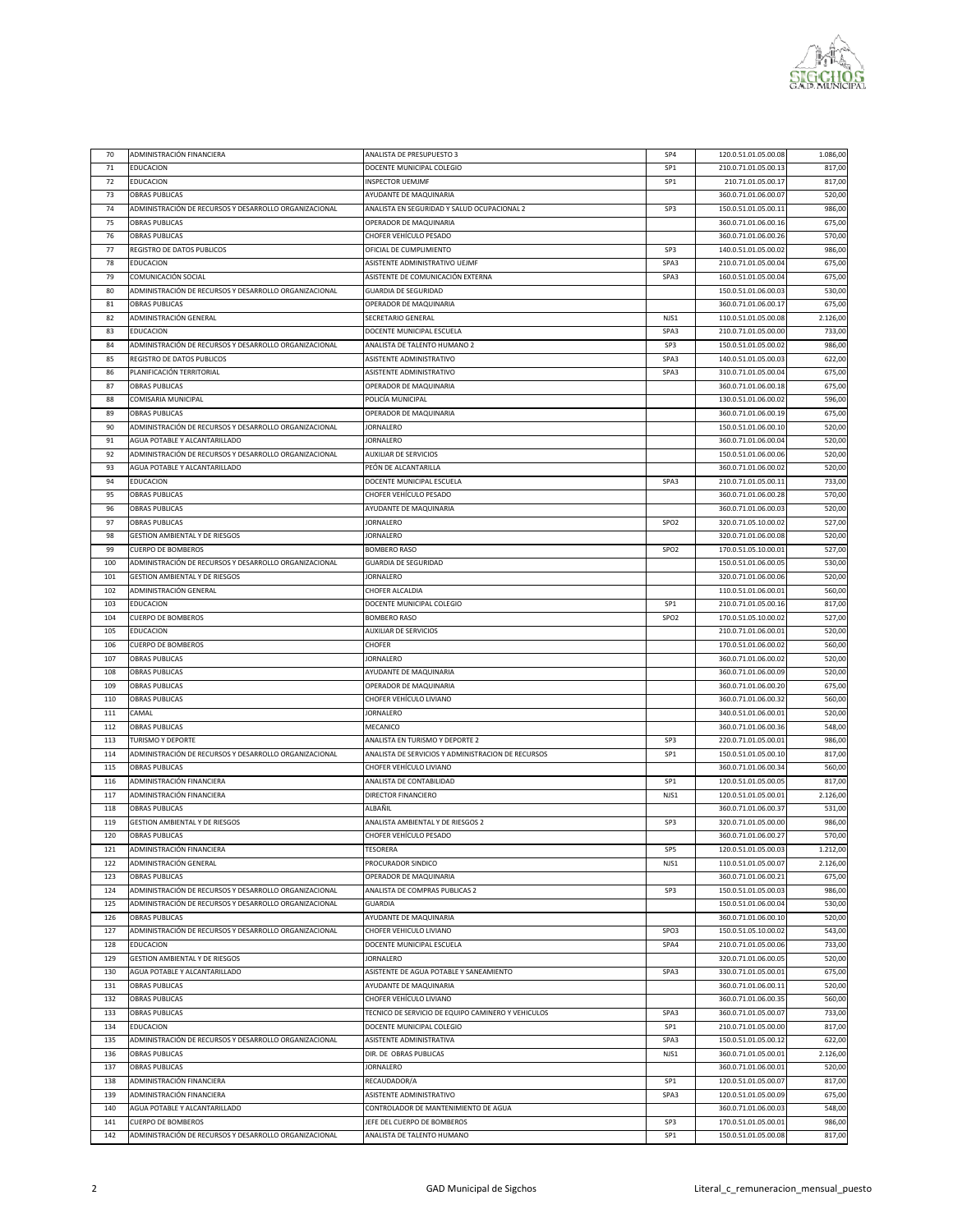

| 70  | ADMINISTRACIÓN FINANCIERA                              | ANALISTA DE PRESUPUESTO 3                          | SP4              | 120.0.51.01.05.00.08 | 1.086,00 |
|-----|--------------------------------------------------------|----------------------------------------------------|------------------|----------------------|----------|
|     |                                                        |                                                    |                  |                      |          |
| 71  | <b>EDUCACION</b>                                       | DOCENTE MUNICIPAL COLEGIO                          | SP1              | 210.0.71.01.05.00.13 | 817,00   |
| 72  | <b>EDUCACION</b>                                       | <b>INSPECTOR UEMJMF</b>                            | SP1              | 210.71.01.05.00.17   | 817,00   |
| 73  | <b>OBRAS PUBLICAS</b>                                  | AYUDANTE DE MAQUINARIA                             |                  | 360.0.71.01.06.00.07 | 520,00   |
| 74  | ADMINISTRACIÓN DE RECURSOS Y DESARROLLO ORGANIZACIONAL | ANALISTA EN SEGURIDAD Y SALUD OCUPACIONAL 2        | SP3              | 150.0.51.01.05.00.11 | 986,00   |
| 75  | <b>OBRAS PUBLICAS</b>                                  | OPERADOR DE MAQUINARIA                             |                  | 360.0.71.01.06.00.16 | 675,00   |
| 76  | <b>OBRAS PUBLICAS</b>                                  | CHOFER VEHÍCULO PESADO                             |                  | 360.0.71.01.06.00.26 | 570,00   |
| 77  | <b>REGISTRO DE DATOS PUBLICOS</b>                      | OFICIAL DE CUMPLIMIENTO                            | SP3              |                      |          |
|     |                                                        |                                                    |                  | 140.0.51.01.05.00.02 | 986,00   |
| 78  | <b>EDUCACION</b>                                       | ASISTENTE ADMINISTRATIVO UEJMF                     | SPA3             | 210.0.71.01.05.00.04 | 675,00   |
| 79  | COMUNICACIÓN SOCIAL                                    | ASISTENTE DE COMUNICACIÓN EXTERNA                  | SPA3             | 160.0.51.01.05.00.04 | 675,00   |
| 80  | ADMINISTRACIÓN DE RECURSOS Y DESARROLLO ORGANIZACIONAL | GUARDIA DE SEGURIDAD                               |                  | 150.0.51.01.06.00.03 | 530,00   |
| 81  | <b>OBRAS PUBLICAS</b>                                  | OPERADOR DE MAQUINARIA                             |                  | 360.0.71.01.06.00.17 | 675,00   |
| 82  | ADMINISTRACIÓN GENERAL                                 | SECRETARIO GENERAL                                 | NJS1             | 110.0.51.01.05.00.08 | 2.126,00 |
| 83  | <b>EDUCACION</b>                                       | DOCENTE MUNICIPAL ESCUELA                          | SPA3             | 210.0.71.01.05.00.00 | 733,00   |
|     |                                                        |                                                    |                  |                      |          |
| 84  | ADMINISTRACIÓN DE RECURSOS Y DESARROLLO ORGANIZACIONAL | ANALISTA DE TALENTO HUMANO 2                       | SP3              | 150.0.51.01.05.00.02 | 986,00   |
| 85  | <b>REGISTRO DE DATOS PUBLICOS</b>                      | ASISTENTE ADMINISTRATIVO                           | SPA3             | 140.0.51.01.05.00.03 | 622,00   |
| 86  | PLANIFICACIÓN TERRITORIAL                              | ASISTENTE ADMINISTRATIVO                           | SPA3             | 310.0.71.01.05.00.04 | 675,00   |
| 87  | <b>OBRAS PUBLICAS</b>                                  | OPERADOR DE MAQUINARIA                             |                  | 360.0.71.01.06.00.18 | 675,00   |
| 88  | <b>COMISARIA MUNICIPAL</b>                             | POLICÍA MUNICIPAL                                  |                  | 130.0.51.01.06.00.02 | 596,00   |
| 89  | <b>OBRAS PUBLICAS</b>                                  | OPERADOR DE MAQUINARIA                             |                  | 360.0.71.01.06.00.19 | 675,00   |
|     |                                                        |                                                    |                  |                      |          |
| 90  | ADMINISTRACIÓN DE RECURSOS Y DESARROLLO ORGANIZACIONAL | JORNALERO                                          |                  | 150.0.51.01.06.00.10 | 520,00   |
| 91  | AGUA POTABLE Y ALCANTARILLADO                          | JORNALERO                                          |                  | 360.0.71.01.06.00.04 | 520,00   |
| 92  | ADMINISTRACIÓN DE RECURSOS Y DESARROLLO ORGANIZACIONAL | AUXILIAR DE SERVICIOS                              |                  | 150.0.51.01.06.00.06 | 520,00   |
| 93  | AGUA POTABLE Y ALCANTARILLADO                          | PEÓN DE ALCANTARILLA                               |                  | 360.0.71.01.06.00.02 | 520,00   |
| 94  | <b>EDUCACION</b>                                       | DOCENTE MUNICIPAL ESCUELA                          | SPA3             | 210.0.71.01.05.00.11 | 733,00   |
| 95  | <b>OBRAS PUBLICAS</b>                                  | CHOFER VEHÍCULO PESADO                             |                  | 360.0.71.01.06.00.28 | 570,00   |
| 96  | <b>OBRAS PUBLICAS</b>                                  | AYUDANTE DE MAQUINARIA                             |                  | 360.0.71.01.06.00.03 | 520,00   |
|     |                                                        |                                                    |                  |                      |          |
| 97  | <b>OBRAS PUBLICAS</b>                                  | JORNALERO                                          | SPO <sub>2</sub> | 320.0.71.05.10.00.02 | 527,00   |
| 98  | <b>GESTION AMBIENTAL Y DE RIESGOS</b>                  | JORNALERO                                          |                  | 320.0.71.01.06.00.08 | 520,00   |
| 99  | <b>CUERPO DE BOMBEROS</b>                              | <b>BOMBERO RASO</b>                                | SPO <sub>2</sub> | 170.0.51.05.10.00.01 | 527,00   |
| 100 | ADMINISTRACIÓN DE RECURSOS Y DESARROLLO ORGANIZACIONAL | <b>GUARDIA DE SEGURIDAD</b>                        |                  | 150.0.51.01.06.00.05 | 530,00   |
| 101 | <b>GESTION AMBIENTAL Y DE RIESGOS</b>                  | <b>JORNALERO</b>                                   |                  | 320.0.71.01.06.00.06 | 520,00   |
| 102 | ADMINISTRACIÓN GENERAL                                 |                                                    |                  | 110.0.51.01.06.00.01 |          |
|     |                                                        | CHOFER ALCALDIA                                    |                  |                      | 560,00   |
| 103 | <b>EDUCACION</b>                                       | DOCENTE MUNICIPAL COLEGIO                          | SP1              | 210.0.71.01.05.00.16 | 817,00   |
| 104 | <b>CUERPO DE BOMBEROS</b>                              | <b>BOMBERO RASO</b>                                | SPO <sub>2</sub> | 170.0.51.05.10.00.02 | 527,00   |
| 105 | <b>EDUCACION</b>                                       | AUXILIAR DE SERVICIOS                              |                  | 210.0.71.01.06.00.01 | 520,00   |
| 106 | <b>CUERPO DE BOMBEROS</b>                              | <b>CHOFER</b>                                      |                  | 170.0.51.01.06.00.02 | 560,00   |
| 107 | <b>OBRAS PUBLICAS</b>                                  | JORNALERO                                          |                  | 360.0.71.01.06.00.02 | 520,00   |
| 108 | <b>OBRAS PUBLICAS</b>                                  | AYUDANTE DE MAQUINARIA                             |                  | 360.0.71.01.06.00.09 | 520,00   |
|     |                                                        |                                                    |                  |                      |          |
| 109 | <b>OBRAS PUBLICAS</b>                                  | OPERADOR DE MAQUINARIA                             |                  | 360.0.71.01.06.00.20 | 675,00   |
| 110 | <b>OBRAS PUBLICAS</b>                                  | CHOFER VEHÍCULO LIVIANO                            |                  | 360.0.71.01.06.00.32 | 560,00   |
| 111 | CAMAL                                                  | JORNALERO                                          |                  | 340.0.51.01.06.00.01 | 520,00   |
| 112 | <b>OBRAS PUBLICAS</b>                                  | MECANICO                                           |                  | 360.0.71.01.06.00.36 | 548,00   |
| 113 | <b>TURISMO Y DEPORTE</b>                               | ANALISTA EN TURISMO Y DEPORTE 2                    | SP3              | 220.0.71.01.05.00.01 | 986,00   |
| 114 | ADMINISTRACIÓN DE RECURSOS Y DESARROLLO ORGANIZACIONAL | ANALISTA DE SERVICIOS Y ADMINISTRACION DE RECURSOS | SP1              | 150.0.51.01.05.00.10 | 817,00   |
|     |                                                        |                                                    |                  |                      |          |
| 115 | <b>OBRAS PUBLICAS</b>                                  | CHOFER VEHÍCULO LIVIANO                            |                  | 360.0.71.01.06.00.34 | 560,00   |
| 116 | ADMINISTRACIÓN FINANCIERA                              | ANALISTA DE CONTABILIDAD                           | SP1              | 120.0.51.01.05.00.05 | 817,00   |
| 117 | ADMINISTRACIÓN FINANCIERA                              | DIRECTOR FINANCIERO                                | NJS1             | 120.0.51.01.05.00.01 | 2.126,00 |
| 118 | <b>OBRAS PUBLICAS</b>                                  | ALBAÑIL                                            |                  | 360.0.71.01.06.00.37 | 531,00   |
| 119 | <b>GESTION AMBIENTAL Y DE RIESGOS</b>                  | ANALISTA AMBIENTAL Y DE RIESGOS 2                  | SP3              | 320.0.71.01.05.00.00 | 986,00   |
| 120 | <b>OBRAS PUBLICAS</b>                                  | CHOFER VEHÍCULO PESADO                             |                  | 360.0.71.01.06.00.27 | 570,00   |
| 121 | ADMINISTRACIÓN FINANCIERA                              | TESORERA                                           | SP <sub>5</sub>  | 120.0.51.01.05.00.03 | 1.212,00 |
|     |                                                        |                                                    |                  |                      |          |
| 122 | ADMINISTRACIÓN GENERAL                                 | PROCURADOR SINDICO                                 | NJS1             | 110.0.51.01.05.00.07 | 2.126,00 |
| 123 | <b>OBRAS PUBLICAS</b>                                  | OPERADOR DE MAQUINARIA                             |                  | 360.0.71.01.06.00.21 | 675,00   |
| 124 | ADMINISTRACIÓN DE RECURSOS Y DESARROLLO ORGANIZACIONAL | <b>ANALISTA DE COMPRAS PUBLICAS 2</b>              | SP3              | 150.0.51.01.05.00.03 | 986,00   |
| 125 | ADMINISTRACIÓN DE RECURSOS Y DESARROLLO ORGANIZACIONAL | <b>GUARDIA</b>                                     |                  | 150.0.51.01.06.00.04 | 530,00   |
| 126 | <b>OBRAS PUBLICAS</b>                                  | AYUDANTE DE MAQUINARIA                             |                  | 360.0.71.01.06.00.10 | 520,00   |
| 127 | ADMINISTRACIÓN DE RECURSOS Y DESARROLLO ORGANIZACIONAL | CHOFER VEHICULO LIVIANO                            | SPO3             | 150.0.51.05.10.00.02 | 543,00   |
|     |                                                        |                                                    |                  |                      |          |
| 128 | <b>EDUCACION</b>                                       | DOCENTE MUNICIPAL ESCUELA                          | SPA4             | 210.0.71.01.05.00.06 | 733,00   |
| 129 | <b>GESTION AMBIENTAL Y DE RIESGOS</b>                  | <b>JORNALERO</b>                                   |                  | 320.0.71.01.06.00.05 | 520,00   |
| 130 | AGUA POTABLE Y ALCANTARILLADO                          | ASISTENTE DE AGUA POTABLE Y SANEAMIENTO            | SPA3             | 330.0.71.01.05.00.01 | 675,00   |
| 131 | <b>OBRAS PUBLICAS</b>                                  | AYUDANTE DE MAQUINARIA                             |                  | 360.0.71.01.06.00.11 | 520,00   |
| 132 | <b>OBRAS PUBLICAS</b>                                  | CHOFER VEHÍCULO LIVIANO                            |                  | 360.0.71.01.06.00.35 | 560,00   |
| 133 | <b>OBRAS PUBLICAS</b>                                  | TECNICO DE SERVICIO DE EQUIPO CAMINERO Y VEHICULOS | SPA3             | 360.0.71.01.05.00.07 | 733,00   |
|     |                                                        |                                                    |                  |                      |          |
| 134 | <b>EDUCACION</b>                                       | DOCENTE MUNICIPAL COLEGIO                          | SP1              | 210.0.71.01.05.00.00 | 817,00   |
| 135 | ADMINISTRACIÓN DE RECURSOS Y DESARROLLO ORGANIZACIONAL | ASISTENTE ADMINISTRATIVA                           | SPA3             | 150.0.51.01.05.00.12 | 622,00   |
| 136 | <b>OBRAS PUBLICAS</b>                                  | DIR. DE OBRAS PUBLICAS                             | NJS1             | 360.0.71.01.05.00.01 | 2.126,00 |
| 137 | <b>OBRAS PUBLICAS</b>                                  | JORNALERO                                          |                  | 360.0.71.01.06.00.01 | 520,00   |
| 138 | ADMINISTRACIÓN FINANCIERA                              | RECAUDADOR/A                                       | SP1              | 120.0.51.01.05.00.07 | 817,00   |
| 139 | ADMINISTRACIÓN FINANCIERA                              | ASISTENTE ADMINISTRATIVO                           | SPA3             | 120.0.51.01.05.00.09 | 675,00   |
| 140 | AGUA POTABLE Y ALCANTARILLADO                          | CONTROLADOR DE MANTENIMIENTO DE AGUA               |                  | 360.0.71.01.06.00.03 | 548,00   |
|     |                                                        |                                                    |                  |                      |          |
| 141 | <b>CUERPO DE BOMBEROS</b>                              | JEFE DEL CUERPO DE BOMBEROS                        | SP3              | 170.0.51.01.05.00.01 | 986,00   |
| 142 | ADMINISTRACIÓN DE RECURSOS Y DESARROLLO ORGANIZACIONAL | ANALISTA DE TALENTO HUMANO                         | SP1              | 150.0.51.01.05.00.08 | 817,00   |